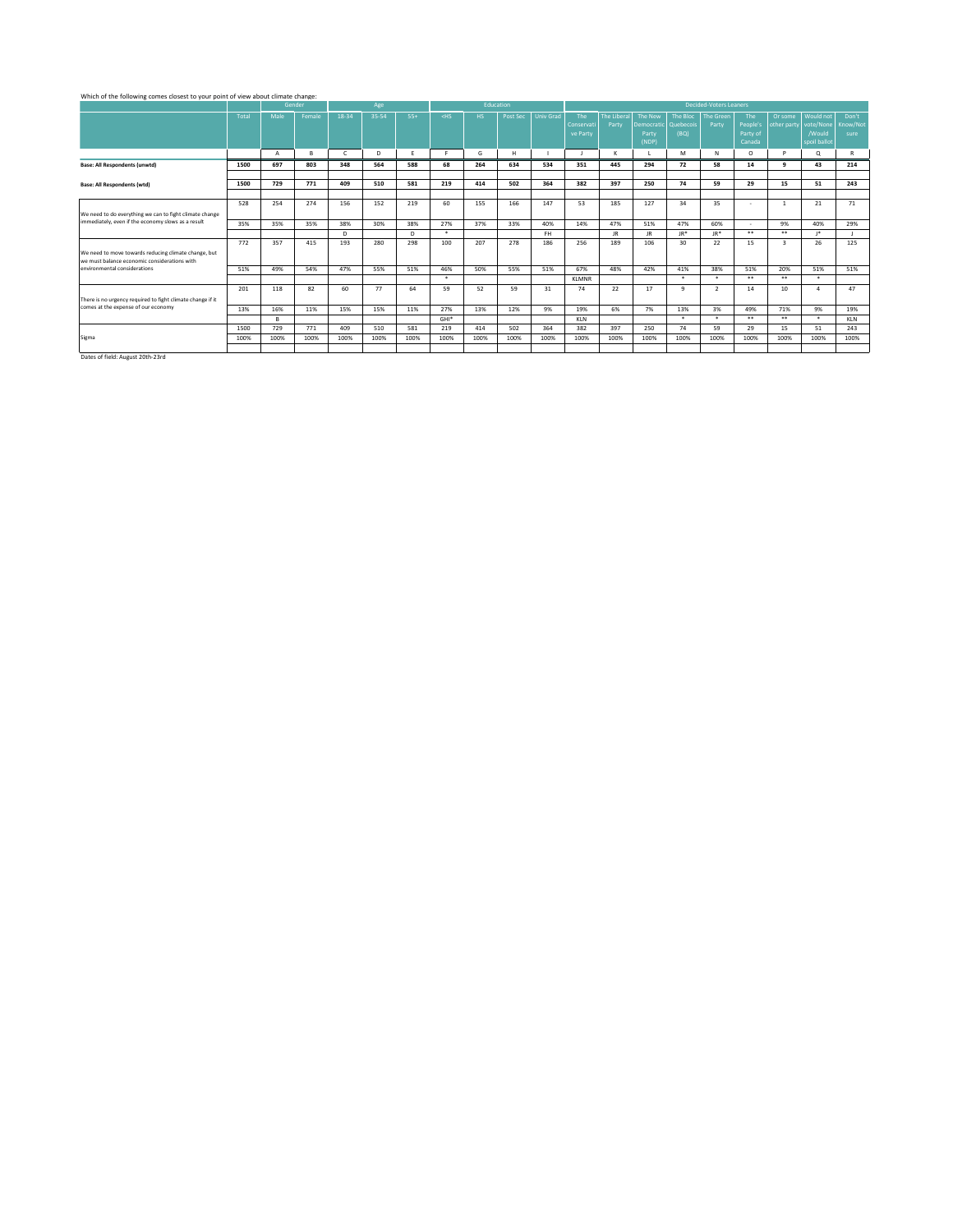### Which of the following comes closest to your point of view about climate change:

|                                                            |       |      | Gender |              | Age   |       |         | Education |          |                  |              |                    |                      |              | <b>Decided-Voters Leaners</b> |          |                         |              |          |
|------------------------------------------------------------|-------|------|--------|--------------|-------|-------|---------|-----------|----------|------------------|--------------|--------------------|----------------------|--------------|-------------------------------|----------|-------------------------|--------------|----------|
|                                                            | Total | Male | Female | 18-34        | 35-54 | $55+$ | $<$ HS  | HS.       | Post Sec | <b>Univ Grad</b> | The          | <b>The Liberal</b> | The New              | The Bloc     | <b>The Green</b>              | The      | Or some                 | Would not    | Don't    |
|                                                            |       |      |        |              |       |       |         |           |          |                  | Conservat    | Party              | Democratic Quebecois |              | Party                         | People's | other party vote/None   |              | Know/Not |
|                                                            |       |      |        |              |       |       |         |           |          |                  | ve Party     |                    | Party                | (BQ)         |                               | Party of |                         | /Would       | sure     |
|                                                            |       |      |        |              |       |       |         |           |          |                  |              |                    | (NDP)                |              |                               | Canada   |                         | spoil ballot |          |
|                                                            |       | A    | B      | $\mathsf{C}$ | D     |       |         | G         | н        |                  |              |                    |                      | M            | N                             | $\circ$  | D                       | o            |          |
| Base: All Respondents (unwtd)                              | 1500  | 697  | 803    | 348          | 564   | 588   | 68      | 264       | 634      | 534              | 351          | 445                | 294                  | 72           | 58                            | 14       | $\alpha$                | 43           | 214      |
|                                                            |       |      |        |              |       |       |         |           |          |                  |              |                    |                      |              |                               |          |                         |              |          |
| <b>Base: All Respondents (wtd)</b>                         | 1500  | 729  | 771    | 409          | 510   | 581   | 219     | 414       | 502      | 364              | 382          | 397                | 250                  | 74           | 59                            | 29       | 15                      | 51           | 243      |
|                                                            |       |      |        |              |       |       |         |           |          |                  |              |                    |                      |              |                               |          |                         |              |          |
|                                                            | 528   | 254  | 274    | 156          | 152   | 219   | 60      | 155       | 166      | 147              | 53           | 185                | 127                  | 34           | 35                            | ٠        |                         | 21           | 71       |
| We need to do everything we can to fight climate change    |       |      |        |              |       |       |         |           |          |                  |              |                    |                      |              |                               |          |                         |              |          |
| immediately, even if the economy slows as a result         | 35%   | 35%  | 35%    | 38%          | 30%   | 38%   | 27%     | 37%       | 33%      | 40%              | 14%          | 47%                | 51%                  | 47%          | 60%                           | . .      | 9%                      | 40%          | 29%      |
|                                                            |       |      |        | D.           |       | D.    | $\star$ |           |          | FH.              |              | IR.                | JR.                  | $JR*$        | $JR*$                         | **       | **                      | 18           |          |
|                                                            | 772   | 357  | 415    | 193          | 280   | 298   | 100     | 207       | 278      | 186              | 256          | 189                | 106                  | 30           | 22                            | 15       | $\overline{\mathbf{3}}$ | 26           | 125      |
| We need to move towards reducing climate change, but       |       |      |        |              |       |       |         |           |          |                  |              |                    |                      |              |                               |          |                         |              |          |
| we must balance economic considerations with               |       |      |        |              |       |       |         |           |          |                  |              |                    |                      |              |                               |          |                         |              |          |
| environmental considerations                               | 51%   | 49%  | 54%    | 47%          | 55%   | 51%   | 46%     | 50%       | 55%      | 51%              | 67%          | 48%                | 42%                  | 41%          | 38%                           | 51%      | 20%                     | 51%          | 51%      |
|                                                            |       |      |        |              |       |       | $\star$ |           |          |                  | <b>KLMNR</b> |                    |                      | $\star$      | $\star$                       | **       | **                      | $\star$      |          |
|                                                            | 201   | 118  | 82     | 60           | 77    | 64    | 59      | 52        | 59       | 31               | 74           | 22                 | 17                   | $\mathbf{q}$ | $\overline{\phantom{a}}$      | 14       | 10                      |              | 47       |
| There is no urgency required to fight climate change if it |       |      |        |              |       |       |         |           |          |                  |              |                    |                      |              |                               |          |                         |              |          |
| comes at the expense of our economy                        | 13%   | 16%  | 11%    | 15%          | 15%   | 11%   | 27%     | 13%       | 12%      | 9%               | 19%          | 6%                 | 7%                   | 13%          | 3%                            | 49%      | 71%                     | 9%           | 19%      |
|                                                            |       | B.   |        |              |       |       | $GHI*$  |           |          |                  | <b>KLN</b>   |                    |                      | $\star$      | $\star$                       | **       | **                      | $\star$      | KLN      |
|                                                            | 1500  | 729  | 771    | 409          | 510   | 581   | 219     | 414       | 502      | 364              | 382          | 397                | 250                  | 74           | 59                            | 29       | 15                      | 51           | 243      |
| Sigma                                                      | 100%  | 100% | 100%   | 100%         | 100%  | 100%  | 100%    | 100%      | 100%     | 100%             | 100%         | 100%               | 100%                 | 100%         | 100%                          | 100%     | 100%                    | 100%         | 100%     |
|                                                            |       |      |        |              |       |       |         |           |          |                  |              |                    |                      |              |                               |          |                         |              |          |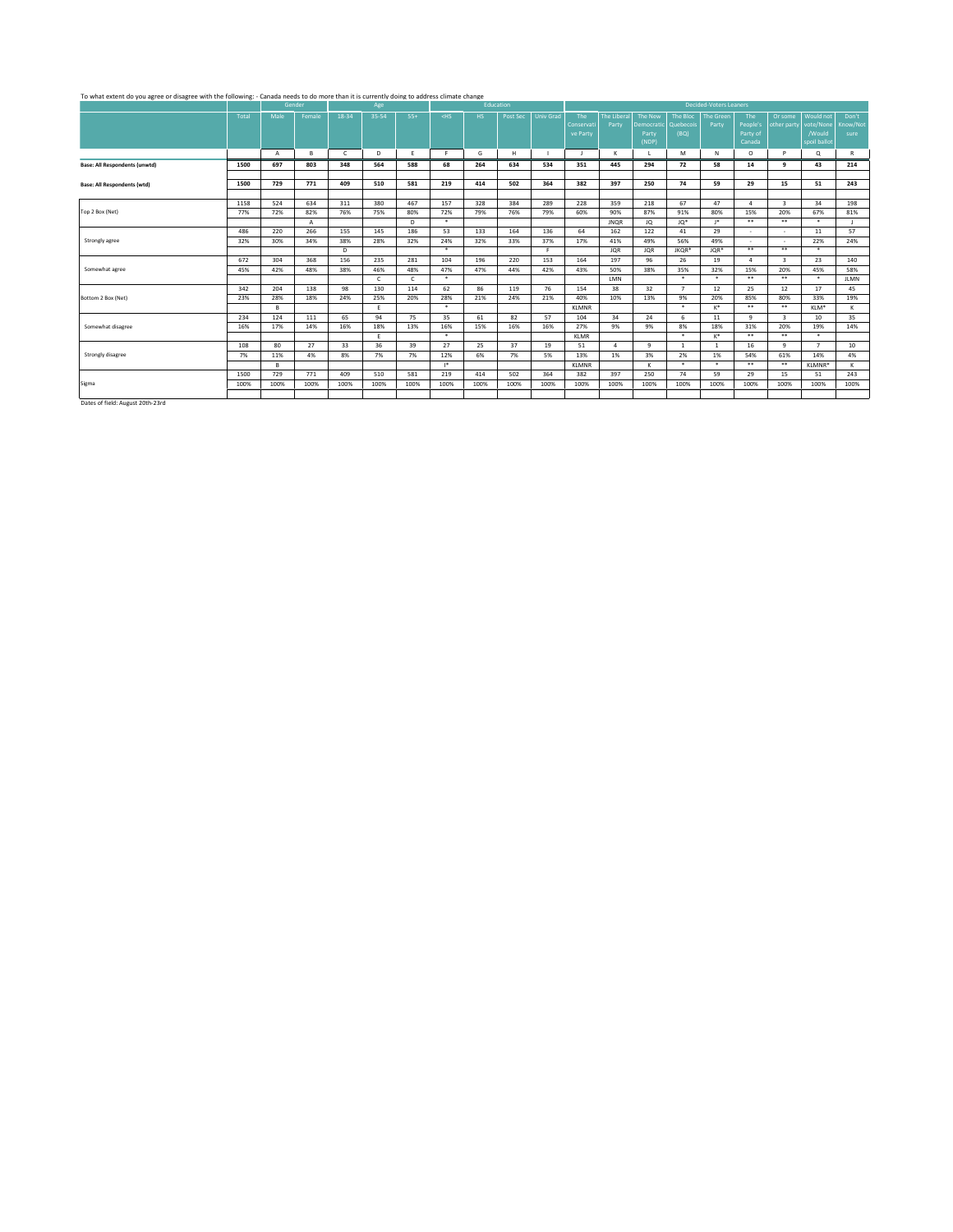#### To what extent do you agree or disagree with the following: - Canada needs to do more than it is currently doing to address climate change

|                                                                                                                                                                                                                                   |       |                | Gender |            | Age          |            |         | Education |          |                  |                |                        |              |                | <b>Decided-Voters Leaners</b> |           |                          |                |             |
|-----------------------------------------------------------------------------------------------------------------------------------------------------------------------------------------------------------------------------------|-------|----------------|--------|------------|--------------|------------|---------|-----------|----------|------------------|----------------|------------------------|--------------|----------------|-------------------------------|-----------|--------------------------|----------------|-------------|
|                                                                                                                                                                                                                                   | Total | Male           | Female | 18-34      | 35-54        | $55+$      | $<$ HS  | HS.       | Post Sec | <b>Univ Grad</b> | The            | The Liberal            | The New      | The Bloc       | <b>The Green</b>              | The       | Or some                  | Would not      | Don't       |
|                                                                                                                                                                                                                                   |       |                |        |            |              |            |         |           |          |                  | Conservati     | Party                  | Democratic   | Quebecois      | Party                         | People's  | other party              | vote/None      | Know/Not    |
|                                                                                                                                                                                                                                   |       |                |        |            |              |            |         |           |          |                  | ve Party       |                        | Party        | (BQ)           |                               | Party of  |                          | /Would         | sure        |
|                                                                                                                                                                                                                                   |       |                |        |            |              |            |         |           |          |                  |                |                        | (NDP)        |                |                               | Canada    |                          | spoil ballot   |             |
|                                                                                                                                                                                                                                   |       | $\overline{A}$ | в      | $\epsilon$ | D            | E          | F.      | G         | H        |                  | $\blacksquare$ | к                      |              | M              | N                             | $\circ$   | P                        | $\alpha$       | R           |
| <b>Base: All Respondents (unwtd)</b>                                                                                                                                                                                              | 1500  | 697            | 803    | 348        | 564          | 588        | 68      | 264       | 634      | 534              | 351            | 445                    | 294          | 72             | 58                            | 14        | q                        | 43             | 214         |
|                                                                                                                                                                                                                                   |       |                |        |            |              |            |         |           |          |                  |                |                        |              |                |                               |           |                          |                |             |
| <b>Base: All Respondents (wtd)</b>                                                                                                                                                                                                | 1500  | 729            | 771    | 409        | 510          | 581        | 219     | 414       | 502      | 364              | 382            | 397                    | 250          | 74             | 59                            | 29        | 15                       | 51             | 243         |
|                                                                                                                                                                                                                                   |       |                |        |            |              |            |         |           |          |                  |                |                        |              |                |                               |           |                          |                |             |
|                                                                                                                                                                                                                                   | 1158  | 524            | 634    | 311        | 380          | 467        | 157     | 328       | 384      | 289              | 228            | 359                    | 218          | 67             | 47                            | $\Lambda$ | $\overline{\mathbf{3}}$  | 34             | 198         |
| Top 2 Box (Net)                                                                                                                                                                                                                   | 77%   | 72%            | 82%    | 76%        | 75%          | 80%        | 72%     | 79%       | 76%      | 79%              | 60%            | 90%                    | 87%          | 91%            | 80%                           | 15%       | 20%                      | 67%            | 81%         |
|                                                                                                                                                                                                                                   |       |                | A      |            |              | D.         | $\star$ |           |          |                  |                | <b>JNOR</b>            | JQ           | JQ*            | $1*$                          | $* *$     | $***$                    | $\star$        | л.          |
|                                                                                                                                                                                                                                   | 486   | 220            | 266    | 155        | 145          | 186        | 53      | 133       | 164      | 136              | 64             | 162                    | 122          | 41             | 29                            | ٠         | ٠                        | 11             | 57          |
| Strongly agree                                                                                                                                                                                                                    | 32%   | 30%            | 34%    | 38%        | 28%          | 32%        | 24%     | 32%       | 33%      | 37%              | 17%            | 41%                    | 49%          | 56%            | 49%                           | ×         | $\overline{\phantom{a}}$ | 22%            | 24%         |
|                                                                                                                                                                                                                                   |       |                |        | D          |              |            | $\star$ |           |          | F.               |                | <b>JQR</b>             | <b>JQR</b>   | JKQR*          | JQR*                          | $* *$     | $***$                    | $\star$        |             |
|                                                                                                                                                                                                                                   | 672   | 304            | 368    | 156        | 235          | 281        | 104     | 196       | 220      | 153              | 164            | 197                    | 96           | 26             | 19                            | $\Lambda$ | $\overline{\mathbf{3}}$  | 23             | 140         |
| Somewhat agree                                                                                                                                                                                                                    | 45%   | 42%            | 48%    | 38%        | 46%          | 48%        | 47%     | 47%       | 44%      | 42%              | 43%            | 50%                    | 38%          | 35%            | 32%                           | 15%       | 20%                      | 45%            | 58%         |
|                                                                                                                                                                                                                                   |       |                |        |            | $\mathsf{C}$ | $\epsilon$ | $\star$ |           |          |                  |                | LMN                    |              | $\star$        | $\ast$                        | $* *$     | $***$                    | $\ast$         | <b>JLMN</b> |
|                                                                                                                                                                                                                                   | 342   | 204            | 138    | 98         | 130          | 114        | 62      | 86        | 119      | 76               | 154            | 38                     | 32           | $\overline{7}$ | 12                            | 25        | 12                       | 17             | 45          |
| Bottom 2 Box (Net)                                                                                                                                                                                                                | 23%   | 28%            | 18%    | 24%        | 25%          | 20%        | 28%     | 21%       | 24%      | 21%              | 40%            | 10%                    | 13%          | 9%             | 20%                           | 85%       | 80%                      | 33%            | 19%         |
|                                                                                                                                                                                                                                   |       | B.             |        |            | Ε.           |            | $\star$ |           |          |                  | <b>KLMNR</b>   |                        |              | $\star$        | $K^*$                         | $***$     | $***$                    | KLM*           | ĸ           |
|                                                                                                                                                                                                                                   | 234   | 124            | 111    | 65         | 94           | 75         | 35      | 61        | 82       | 57               | 104            | 34                     | 24           | 6              | 11                            | 9         | $\overline{\mathbf{3}}$  | 10             | 35          |
| Somewhat disagree                                                                                                                                                                                                                 | 16%   | 17%            | 14%    | 16%        | 18%          | 13%        | 16%     | 15%       | 16%      | 16%              | 27%            | 9%                     | 9%           | 8%             | 18%                           | 31%       | 20%                      | 19%            | 14%         |
|                                                                                                                                                                                                                                   |       |                |        |            | Ε.           |            | $\star$ |           |          |                  | <b>KLMR</b>    |                        |              | $\star$        | $K^*$                         | $* *$     | $***$                    | $\star$        |             |
|                                                                                                                                                                                                                                   | 108   | 80             | 27     | 33         | 36           | 39         | 27      | 25        | 37       | 19               | 51             | $\boldsymbol{\Lambda}$ | $\mathbf{q}$ | $\mathbf{1}$   | 1                             | 16        | $\alpha$                 | $\overline{ }$ | 10          |
| Strongly disagree                                                                                                                                                                                                                 | 7%    | 11%            | 4%     | 8%         | 7%           | 7%         | 12%     | 6%        | 7%       | 5%               | 13%            | 1%                     | 3%           | 2%             | 1%                            | 54%       | 61%                      | 14%            | 4%          |
|                                                                                                                                                                                                                                   |       | в              |        |            |              |            | $1*$    |           |          |                  | <b>KLMNR</b>   |                        | ĸ            | $\star$        | $\star$                       | $* *$     | $***$                    | KLMNR*         | ĸ           |
|                                                                                                                                                                                                                                   | 1500  | 729            | 771    | 409        | 510          | 581        | 219     | 414       | 502      | 364              | 382            | 397                    | 250          | 74             | 59                            | 29        | 15                       | 51             | 243         |
| Sigma                                                                                                                                                                                                                             | 100%  | 100%           | 100%   | 100%       | 100%         | 100%       | 100%    | 100%      | 100%     | 100%             | 100%           | 100%                   | 100%         | 100%           | 100%                          | 100%      | 100%                     | 100%           | 100%        |
|                                                                                                                                                                                                                                   |       |                |        |            |              |            |         |           |          |                  |                |                        |              |                |                               |           |                          |                |             |
| $\mathbf{r}$ . And the second second second second second second second second second second second second second second second second second second second second second second second second second second second second second |       |                |        |            |              |            |         |           |          |                  |                |                        |              |                |                               |           |                          |                |             |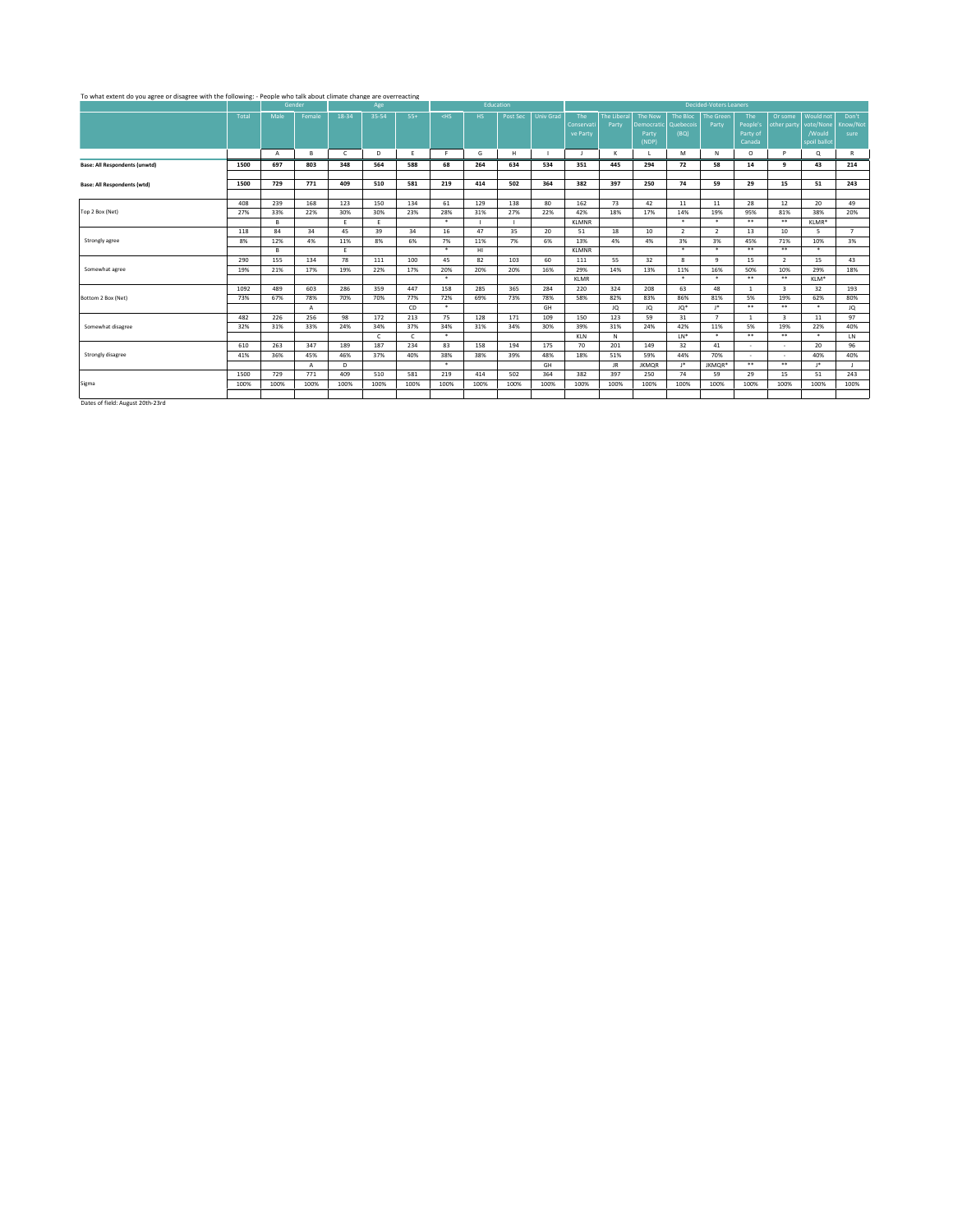## To what extent do you agree or disagree with the following: - People who talk about climate change are overreacting

|                                                                                                                                                                                                                                   |       |                | Gender         |              | Age          |            |         | Education |          |                  |              |             |              |                | <b>Decided-Voters Leaners</b> |              |                          |              |                |
|-----------------------------------------------------------------------------------------------------------------------------------------------------------------------------------------------------------------------------------|-------|----------------|----------------|--------------|--------------|------------|---------|-----------|----------|------------------|--------------|-------------|--------------|----------------|-------------------------------|--------------|--------------------------|--------------|----------------|
|                                                                                                                                                                                                                                   | Total | Male           | Female         | 18-34        | 35-54        | $55+$      | $<$ HS  | HS.       | Post Sec | <b>Univ Grad</b> | The          | The Liberal | The New      | The Bloc       | <b>The Green</b>              | The          | Or some                  | Would not    | Don't          |
|                                                                                                                                                                                                                                   |       |                |                |              |              |            |         |           |          |                  | Conservati   | Party       | Democratic   | Quebecois      | Party                         | People's     | other party              | vote/None    | Know/Not       |
|                                                                                                                                                                                                                                   |       |                |                |              |              |            |         |           |          |                  | ve Party     |             | Party        | (BQ)           |                               | Party of     |                          | /Would       | sure           |
|                                                                                                                                                                                                                                   |       |                |                |              |              |            |         |           |          |                  |              |             | (NDP)        |                |                               | Canada       |                          | spoil ballot |                |
|                                                                                                                                                                                                                                   |       | $\overline{A}$ | в              | $\mathsf{C}$ | D            | E          | F.      | G         | H        |                  | Ι.           | к           |              | M              | N                             | $\circ$      | P                        | Q            | R              |
| <b>Base: All Respondents (unwtd)</b>                                                                                                                                                                                              | 1500  | 697            | 803            | 348          | 564          | 588        | 68      | 264       | 634      | 534              | 351          | 445         | 294          | 72             | 58                            | 14           | q                        | 43           | 214            |
|                                                                                                                                                                                                                                   |       |                |                |              |              |            |         |           |          |                  |              |             |              |                |                               |              |                          |              |                |
| <b>Base: All Respondents (wtd)</b>                                                                                                                                                                                                | 1500  | 729            | 771            | 409          | 510          | 581        | 219     | 414       | 502      | 364              | 382          | 397         | 250          | 74             | 59                            | 29           | 15                       | 51           | 243            |
|                                                                                                                                                                                                                                   |       |                |                |              |              |            |         |           |          |                  |              |             |              |                |                               |              |                          |              |                |
|                                                                                                                                                                                                                                   | 408   | 239            | 168            | 123          | 150          | 134        | 61      | 129       | 138      | 80               | 162          | 73          | 42           | 11             | 11                            | 28           | 12                       | 20           | 49             |
| Top 2 Box (Net)                                                                                                                                                                                                                   | 27%   | 33%            | 22%            | 30%          | 30%          | 23%        | 28%     | 31%       | 27%      | 22%              | 42%          | 18%         | 17%          | 14%            | 19%                           | 95%          | 81%                      | 38%          | 20%            |
|                                                                                                                                                                                                                                   |       | B              |                | Ε.           | E            |            | $\star$ |           |          |                  | <b>KLMNR</b> |             |              | $\star$        | $\star$                       | $***$        | $***$                    | KLMR*        |                |
|                                                                                                                                                                                                                                   | 118   | 84             | 34             | 45           | 39           | 34         | 16      | 47        | 35       | 20               | 51           | 18          | 10           | $\overline{2}$ | $\overline{2}$                | 13           | 10                       |              | $\overline{7}$ |
| Strongly agree                                                                                                                                                                                                                    | 8%    | 12%            | 4%             | 11%          | 8%           | 6%         | 7%      | 11%       | 7%       | 6%               | 13%          | 4%          | 4%           | 3%             | 3%                            | 45%          | 71%                      | 10%          | 3%             |
|                                                                                                                                                                                                                                   |       | R              |                | Ε.           |              |            | $\star$ | HI        |          |                  | <b>KLMNR</b> |             |              | $\star$        | $\star$                       | $* *$        | $***$                    | $\star$      |                |
|                                                                                                                                                                                                                                   | 290   | 155            | 134            | 78           | 111          | 100        | 45      | 82        | 103      | 60               | 111          | 55          | 32           | 8              | 9                             | 15           | $\overline{2}$           | 15           | 43             |
| Somewhat agree                                                                                                                                                                                                                    | 19%   | 21%            | 17%            | 19%          | 22%          | 17%        | 20%     | 20%       | 20%      | 16%              | 29%          | 14%         | 13%          | 11%            | 16%                           | 50%          | 10%                      | 29%          | 18%            |
|                                                                                                                                                                                                                                   |       |                |                |              |              |            | $\star$ |           |          |                  | <b>KLMR</b>  |             |              | $\star$        | $\star$                       | $* *$        | $***$                    | KLM*         |                |
|                                                                                                                                                                                                                                   | 1092  | 489            | 603            | 286          | 359          | 447        | 158     | 285       | 365      | 284              | 220          | 324         | 208          | 63             | 48                            | $\mathbf{1}$ | $\overline{\mathbf{3}}$  | 32           | 193            |
| Bottom 2 Box (Net)                                                                                                                                                                                                                | 73%   | 67%            | 78%            | 70%          | 70%          | 77%        | 72%     | 69%       | 73%      | 78%              | 58%          | 82%         | 83%          | 86%            | 81%                           | 5%           | 19%                      | 62%          | 80%            |
|                                                                                                                                                                                                                                   |       |                | $\overline{A}$ |              |              | CD         | $\ast$  |           |          | GH               |              | JQ          | JQ           | JO*            | $\mathsf{I}^*$                | $* *$        | $***$                    | $\star$      | JQ.            |
|                                                                                                                                                                                                                                   | 482   | 226            | 256            | 98           | 172          | 213        | 75      | 128       | 171      | 109              | 150          | 123         | 59           | 31             | $\overline{7}$                | $\mathbf{1}$ | $\overline{\mathbf{3}}$  | 11           | 97             |
| Somewhat disagree                                                                                                                                                                                                                 | 32%   | 31%            | 33%            | 24%          | 34%          | 37%        | 34%     | 31%       | 34%      | 30%              | 39%          | 31%         | 24%          | 42%            | 11%                           | 5%           | 19%                      | 22%          | 40%            |
|                                                                                                                                                                                                                                   |       |                |                |              | $\mathsf{C}$ | $\epsilon$ | $\star$ |           |          |                  | KLN          | N           |              | $LN^*$         | $\ast$                        | $* *$        | $***$                    | $\star$      | LN.            |
|                                                                                                                                                                                                                                   | 610   | 263            | 347            | 189          | 187          | 234        | 83      | 158       | 194      | 175              | 70           | 201         | 149          | 32             | 41                            | ٠            | ٠                        | 20           | 96             |
| Strongly disagree                                                                                                                                                                                                                 | 41%   | 36%            | 45%            | 46%          | 37%          | 40%        | 38%     | 38%       | 39%      | 48%              | 18%          | 51%         | 59%          | 44%            | 70%                           | $\sim$       | $\overline{\phantom{a}}$ | 40%          | 40%            |
|                                                                                                                                                                                                                                   |       |                | $\mathsf{A}$   | D            |              |            | $\star$ |           |          | GH               |              | JR.         | <b>JKMOR</b> | J*.            | JKMOR*                        | $* *$        | $***$                    | 18           |                |
|                                                                                                                                                                                                                                   | 1500  | 729            | 771            | 409          | 510          | 581        | 219     | 414       | 502      | 364              | 382          | 397         | 250          | 74             | 59                            | 29           | 15                       | 51           | 243            |
| Sigma                                                                                                                                                                                                                             | 100%  | 100%           | 100%           | 100%         | 100%         | 100%       | 100%    | 100%      | 100%     | 100%             | 100%         | 100%        | 100%         | 100%           | 100%                          | 100%         | 100%                     | 100%         | 100%           |
|                                                                                                                                                                                                                                   |       |                |                |              |              |            |         |           |          |                  |              |             |              |                |                               |              |                          |              |                |
| $\mathbf{r}$ . And the second second second second second second second second second second second second second second second second second second second second second second second second second second second second second |       |                |                |              |              |            |         |           |          |                  |              |             |              |                |                               |              |                          |              |                |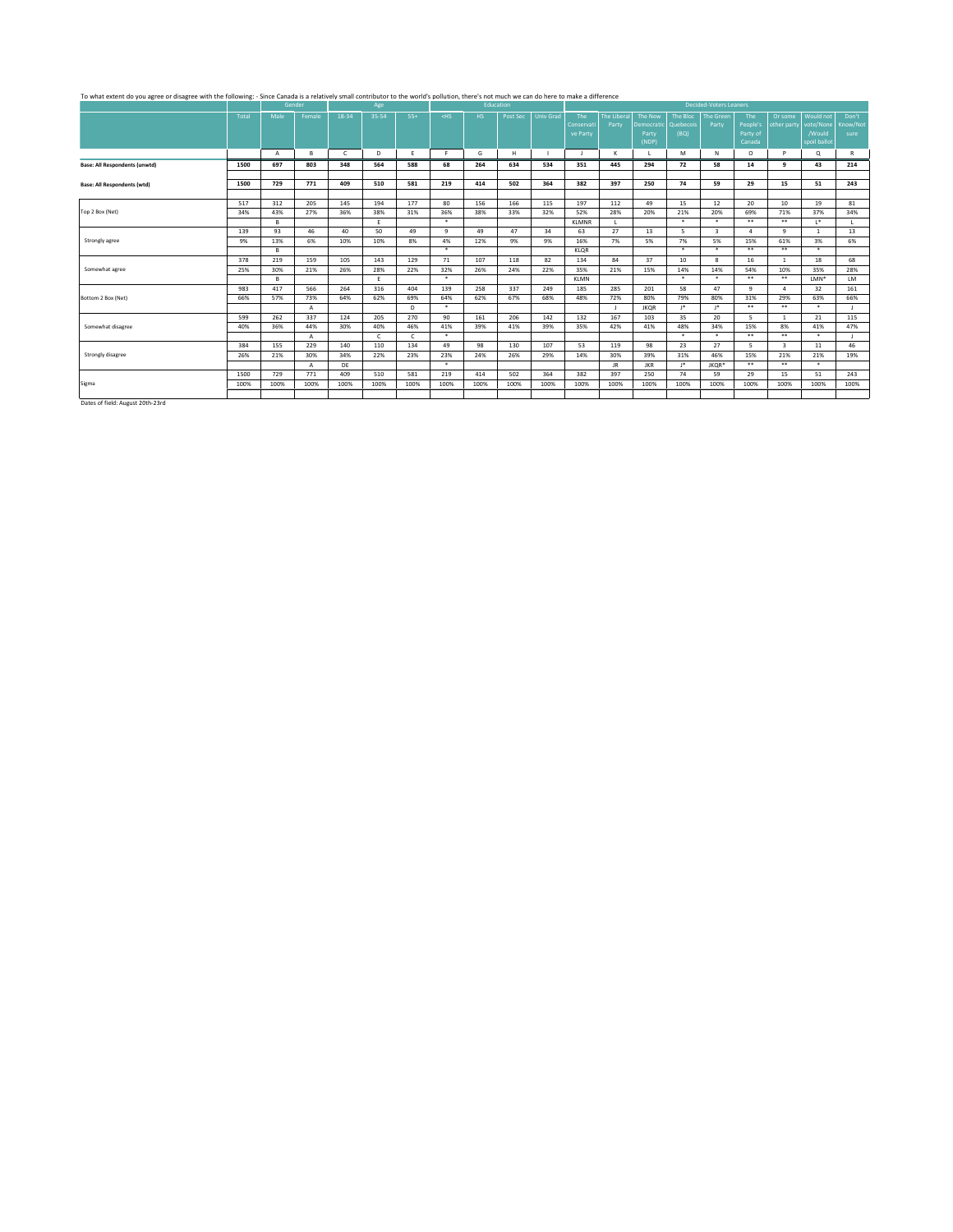# To what extent do you agree or disagree with the following: - Since Canada is a relatively small contributor to the world's pollution, there's not much was do here to make a difference because of exercise  $\frac{1}{2}$

|                                                                                                                                                                                                                                   |       |              | Gender       |              | Age        |            |         | Education |          |                  |              |            |             |           | Decided-Voters Leaners |                |                         |              |              |
|-----------------------------------------------------------------------------------------------------------------------------------------------------------------------------------------------------------------------------------|-------|--------------|--------------|--------------|------------|------------|---------|-----------|----------|------------------|--------------|------------|-------------|-----------|------------------------|----------------|-------------------------|--------------|--------------|
|                                                                                                                                                                                                                                   | Total | Male         | Female       | $18 - 34$    | 35-54      | $55+$      | $<$ HS  | HS.       | Post Sec | <b>Univ Grad</b> | The          | The Libera | The New     | The Bloc  | <b>The Green</b>       | The            | Or some                 | Would not    | Don't        |
|                                                                                                                                                                                                                                   |       |              |              |              |            |            |         |           |          |                  | Conservati   | Party      | Democratic  | Quebecois | Party                  | People's       | other party             | vote/None    | Know/Not     |
|                                                                                                                                                                                                                                   |       |              |              |              |            |            |         |           |          |                  | ve Party     |            | Party       | (BQ)      |                        | Party of       |                         | /Would       | sure         |
|                                                                                                                                                                                                                                   |       |              |              |              |            |            |         |           |          |                  |              |            | (NDP)       |           |                        | Canada         |                         | spoil ballot |              |
|                                                                                                                                                                                                                                   |       | $\mathsf{A}$ | в            | $\mathsf{C}$ | D          | F          | F.      | G         | H        |                  | - 11         | к          |             | M         | N                      | $\circ$        | P                       | Q            | R            |
| <b>Base: All Respondents (unwtd)</b>                                                                                                                                                                                              | 1500  | 697          | 803          | 348          | 564        | 588        | 68      | 264       | 634      | 534              | 351          | 445        | 294         | 72        | 58                     | 14             | $\mathbf{q}$            | 43           | 214          |
|                                                                                                                                                                                                                                   |       |              |              |              |            |            |         |           |          |                  |              |            |             |           |                        |                |                         |              |              |
| <b>Base: All Respondents (wtd)</b>                                                                                                                                                                                                | 1500  | 729          | 771          | 409          | 510        | 581        | 219     | 414       | 502      | 364              | 382          | 397        | 250         | 74        | 59                     | 29             | 15                      | 51           | 243          |
|                                                                                                                                                                                                                                   |       |              |              |              |            |            |         |           |          |                  |              |            |             |           |                        |                |                         |              |              |
|                                                                                                                                                                                                                                   | 517   | 312          | 205          | 145          | 194        | 177        | 80      | 156       | 166      | 115              | 197          | 112        | 49          | 15        | 12                     | 20             | 10                      | 19           | 81           |
| Top 2 Box (Net)                                                                                                                                                                                                                   | 34%   | 43%          | 27%          | 36%          | 38%        | 31%        | 36%     | 38%       | 33%      | 32%              | 52%          | 28%        | 20%         | 21%       | 20%                    | 69%            | 71%                     | 37%          | 34%          |
|                                                                                                                                                                                                                                   |       | B.           |              |              | E          |            | $\star$ |           |          |                  | <b>KLMNR</b> | -1         |             | $\star$   | $\star$                | $***$          | $***$                   | $1*$         |              |
|                                                                                                                                                                                                                                   | 139   | 93           | 46           | 40           | 50         | 49         | 9       | 49        | 47       | 34               | 63           | 27         | 13          | 5         | 3                      | $\overline{a}$ | q                       |              | 13           |
| Strongly agree                                                                                                                                                                                                                    | 9%    | 13%          | 6%           | 10%          | 10%        | 8%         | 4%      | 12%       | 9%       | 9%               | 16%          | 7%         | 5%          | 7%        | 5%                     | 15%            | 61%                     | 3%           | 6%           |
|                                                                                                                                                                                                                                   |       | R            |              |              |            |            | $\star$ |           |          |                  | KLOR         |            |             | $\star$   | $\star$                | $***$          | $***$                   | $\star$      |              |
|                                                                                                                                                                                                                                   | 378   | 219          | 159          | 105          | 143        | 129        | 71      | 107       | 118      | 82               | 134          | 84         | 37          | 10        | 8                      | 16             | $\overline{1}$          | 18           | 68           |
| Somewhat agree                                                                                                                                                                                                                    | 25%   | 30%          | 21%          | 26%          | 28%        | 22%        | 32%     | 26%       | 24%      | 22%              | 35%          | 21%        | 15%         | 14%       | 14%                    | 54%            | 10%                     | 35%          | 28%          |
|                                                                                                                                                                                                                                   |       | R            |              |              | E          |            | $\ast$  |           |          |                  | <b>KLMN</b>  |            |             | $\star$   | $\ast$                 | $* *$          | $***$                   | LMN*         | LM           |
|                                                                                                                                                                                                                                   | 983   | 417          | 566          | 264          | 316        | 404        | 139     | 258       | 337      | 249              | 185          | 285        | 201         | 58        | 47                     | q              | $\boldsymbol{A}$        | 32           | 161          |
| Bottom 2 Box (Net)                                                                                                                                                                                                                | 66%   | 57%          | 73%          | 64%          | 62%        | 69%        | 64%     | 62%       | 67%      | 68%              | 48%          | 72%        | 80%         | 79%       | 80%                    | 31%            | 29%                     | 63%          | 66%          |
|                                                                                                                                                                                                                                   |       |              | $\mathsf{A}$ |              |            | D.         | $\star$ |           |          |                  |              |            | <b>JKOR</b> | J*        | J*                     | $* *$          | $***$                   | $\bullet$    |              |
|                                                                                                                                                                                                                                   | 599   | 262          | 337          | 124          | 205        | 270        | 90      | 161       | 206      | 142              | 132          | 167        | 103         | 35        | 20                     | 5              | $\mathbf{1}$            | 21           | 115          |
| Somewhat disagree                                                                                                                                                                                                                 | 40%   | 36%          | 44%          | 30%          | 40%        | 46%        | 41%     | 39%       | 41%      | 39%              | 35%          | 42%        | 41%         | 48%       | 34%                    | 15%            | 8%                      | 41%          | 47%          |
|                                                                                                                                                                                                                                   |       |              | A            |              | $\epsilon$ | $\epsilon$ | $\star$ |           |          |                  |              |            |             | $\star$   | $\cdot$                | $***$          | $***$                   | $\star$      | $\mathbf{L}$ |
|                                                                                                                                                                                                                                   | 384   | 155          | 229          | 140          | 110        | 134        | 49      | 98        | 130      | 107              | 53           | 119        | 98          | 23        | 27                     | 5.             | $\overline{\mathbf{3}}$ | 11           | 46           |
| Strongly disagree                                                                                                                                                                                                                 | 26%   | 21%          | 30%          | 34%          | 22%        | 23%        | 23%     | 24%       | 26%      | 29%              | 14%          | 30%        | 39%         | 31%       | 46%                    | 15%            | 21%                     | 21%          | 19%          |
|                                                                                                                                                                                                                                   |       |              | A            | DE           |            |            | $\ast$  |           |          |                  |              | JR.        | <b>JKR</b>  | $1*$      | JKOR*                  | $* *$          | $***$                   | $\star$      |              |
|                                                                                                                                                                                                                                   | 1500  | 729          | 771          | 409          | 510        | 581        | 219     | 414       | 502      | 364              | 382          | 397        | 250         | 74        | 59                     | 29             | 15                      | 51           | 243          |
| Sigma                                                                                                                                                                                                                             | 100%  | 100%         | 100%         | 100%         | 100%       | 100%       | 100%    | 100%      | 100%     | 100%             | 100%         | 100%       | 100%        | 100%      | 100%                   | 100%           | 100%                    | 100%         | 100%         |
|                                                                                                                                                                                                                                   |       |              |              |              |            |            |         |           |          |                  |              |            |             |           |                        |                |                         |              |              |
| $\frac{1}{2}$ . And the second contract of the second contract of the second contract of the second contract of the second contract of the second contract of the second contract of the second contract of the second contract o |       |              |              |              |            |            |         |           |          |                  |              |            |             |           |                        |                |                         |              |              |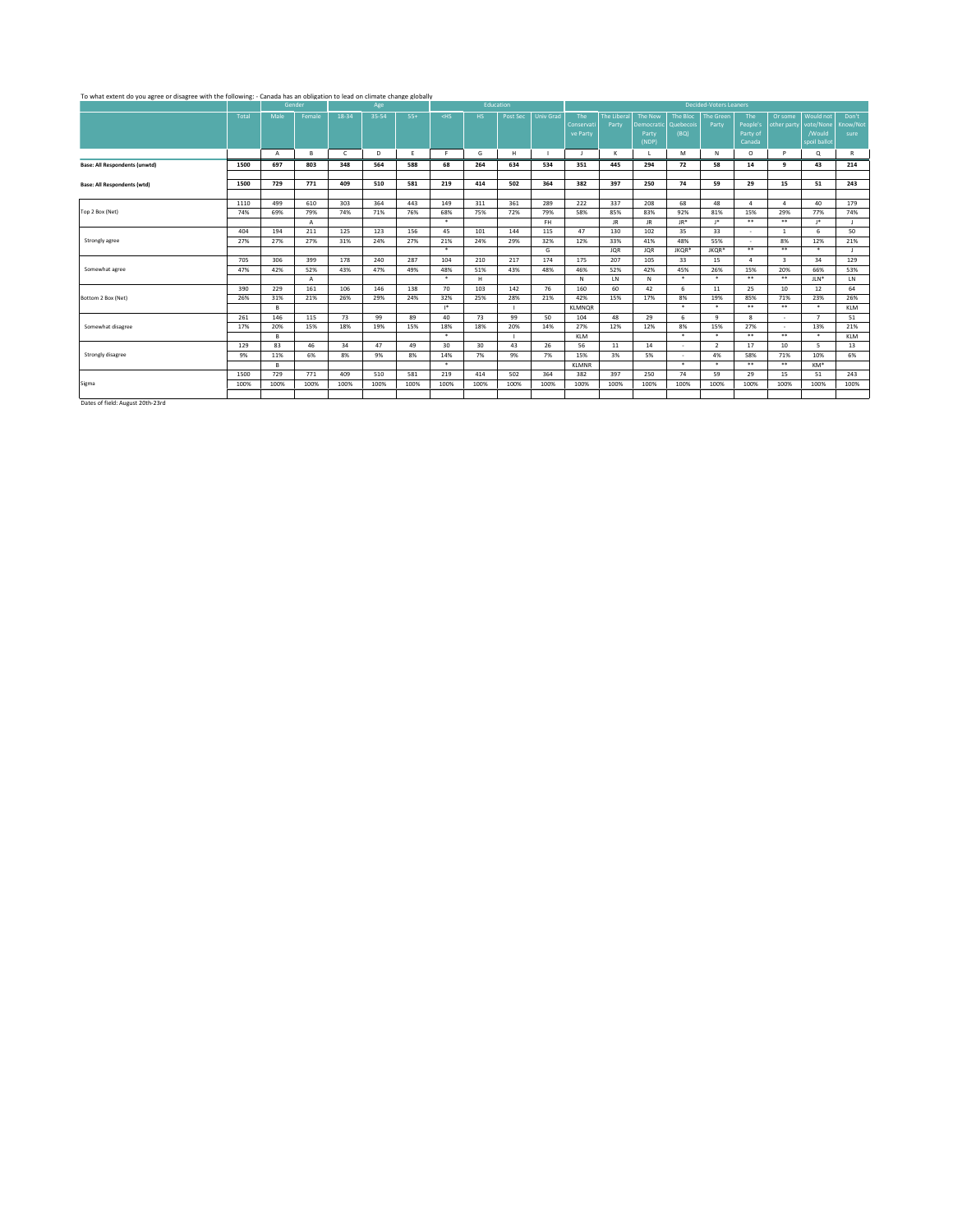## To what extent do you agree or disagree with the following: - Canada has an obligation to lead on climate change globally

| 18-34<br>35-54<br>Total<br>Male<br>$55+$<br>$<$ HS<br>Post Sec<br><b>Univ Grad</b><br>The<br>The Liberal<br>The New<br>The<br>Would not<br>Don't<br>Female<br>HS.<br>The Bloc<br><b>The Green</b><br>Or some<br>People's<br>vote/None<br>Know/Not<br>Quebecois<br>Party<br>Conservati<br>Party<br>Democratic<br>other party<br>/Would<br>(BQ)<br>Party of<br>ve Party<br>Party<br>sure<br>(NDP)<br>spoil ballot<br>Canada<br>H<br>в<br>D<br>G<br>к<br>M<br>N<br>$\circ$<br>P<br>Q<br>R<br>$\mathsf{C}$<br>E<br>F.<br>$\overline{A}$<br>Ι.<br>214<br>1500<br>697<br>803<br>348<br>564<br>68<br>264<br>634<br>534<br>445<br>294<br>72<br>58<br>q<br>43<br>588<br>351<br>14<br>771<br>409<br>219<br>502<br>397<br>250<br>74<br>59<br>15<br>243<br>1500<br>729<br>510<br>581<br>414<br>364<br>382<br>29<br>51<br>337<br>179<br>499<br>610<br>303<br>364<br>149<br>311<br>361<br>289<br>222<br>208<br>68<br>48<br>40<br>1110<br>443<br>$\boldsymbol{\Lambda}$<br>$\boldsymbol{A}$<br>68%<br>77%<br>74%<br>69%<br>79%<br>74%<br>71%<br>76%<br>75%<br>72%<br>79%<br>58%<br>85%<br>83%<br>92%<br>81%<br>15%<br>29%<br>74%<br>$\star$<br>$***$<br>$* *$<br>$1*$<br>FH.<br>JR.<br>JR.<br>JR*<br>$1*$<br>Α<br>35<br>50<br>194<br>211<br>125<br>123<br>156<br>45<br>144<br>47<br>130<br>102<br>33<br>404<br>101<br>115<br>$\overline{1}$<br>6<br>$\overline{\phantom{a}}$<br>27%<br>33%<br>48%<br>55%<br>12%<br>21%<br>27%<br>27%<br>31%<br>24%<br>27%<br>21%<br>24%<br>29%<br>32%<br>12%<br>41%<br>8%<br>Strongly agree<br>$\overline{\phantom{a}}$<br>$\star$<br>$***$<br>$***$<br>G<br>$\star$<br><b>JQR</b><br><b>JQR</b><br>JKQR*<br>JKQR*<br>129<br>705<br>306<br>399<br>178<br>240<br>287<br>104<br>210<br>217<br>174<br>207<br>105<br>33<br>$\overline{\mathbf{3}}$<br>34<br>175<br>15<br>$\Lambda$<br>Somewhat agree<br>42%<br>52%<br>48%<br>51%<br>52%<br>42%<br>45%<br>26%<br>20%<br>66%<br>53%<br>47%<br>43%<br>47%<br>49%<br>43%<br>48%<br>46%<br>15%<br>$\star$<br>$\star$<br>$\ast$<br>$* *$<br>$***$<br>$JLN^*$<br>LN<br>н.<br>N<br>LN<br>N<br>А<br>390<br>229<br>161<br>106<br>70<br>103<br>142<br>76<br>160<br>60<br>42<br>6<br>25<br>12<br>64<br>146<br>138<br>11<br>10<br>32%<br>17%<br>8%<br>23%<br>26%<br>26%<br>31%<br>21%<br>26%<br>29%<br>24%<br>25%<br>28%<br>21%<br>42%<br>15%<br>19%<br>85%<br>71%<br>$\ast$<br>$\ast$<br>$* *$<br>$***$<br>$\star$<br>$1*$<br>KLM<br>B<br><b>KLMNOR</b><br>п.<br>146<br>115<br>73<br>99<br>40<br>73<br>99<br>48<br>29<br>261<br>89<br>50<br>104<br>6<br>9<br>8<br>$\overline{7}$<br>51<br>$\sim$<br>Somewhat disagree<br>20%<br>15%<br>8%<br>15%<br>13%<br>21%<br>17%<br>18%<br>19%<br>18%<br>18%<br>20%<br>14%<br>27%<br>12%<br>12%<br>27%<br>15%<br>$***$<br>$\star$<br>$\star$<br>$\star$<br>$* *$<br>$\star$<br>KLM<br><b>KLM</b><br>в<br>п.<br>83<br>46<br>30<br>30<br>13<br>129<br>34<br>47<br>49<br>43<br>26<br>56<br>11<br>14<br>$\overline{2}$<br>17<br>10<br>5<br>$\sim$<br>6%<br>6%<br>Strongly disagree<br>11%<br>8%<br>9%<br>8%<br>14%<br>7%<br>9%<br>7%<br>15%<br>3%<br>5%<br>4%<br>58%<br>71%<br>10%<br>9%<br>$\sim$<br>$\star$<br>$***$<br>$\star$<br>$\ast$<br>$* *$<br>KM*<br>в<br><b>KLMNR</b><br>771<br>409<br>414<br>502<br>397<br>250<br>74<br>243<br>1500<br>729<br>510<br>581<br>219<br>364<br>382<br>59<br>29<br>15<br>51<br>100%<br>100%<br>100%<br>100%<br>100%<br>100%<br>100%<br>100%<br>100%<br>100%<br>100%<br>100%<br>100%<br>100%<br>100%<br>100%<br>100%<br>100%<br>100%<br>$\mathbf{r}$ . And the second second second second second second second second second second second second second second second second second second second second second second second second second second second second second |                                      |  | Gender | Age |  | Education |  |  |  | <b>Decided-Voters Leaners</b> |  |  |
|--------------------------------------------------------------------------------------------------------------------------------------------------------------------------------------------------------------------------------------------------------------------------------------------------------------------------------------------------------------------------------------------------------------------------------------------------------------------------------------------------------------------------------------------------------------------------------------------------------------------------------------------------------------------------------------------------------------------------------------------------------------------------------------------------------------------------------------------------------------------------------------------------------------------------------------------------------------------------------------------------------------------------------------------------------------------------------------------------------------------------------------------------------------------------------------------------------------------------------------------------------------------------------------------------------------------------------------------------------------------------------------------------------------------------------------------------------------------------------------------------------------------------------------------------------------------------------------------------------------------------------------------------------------------------------------------------------------------------------------------------------------------------------------------------------------------------------------------------------------------------------------------------------------------------------------------------------------------------------------------------------------------------------------------------------------------------------------------------------------------------------------------------------------------------------------------------------------------------------------------------------------------------------------------------------------------------------------------------------------------------------------------------------------------------------------------------------------------------------------------------------------------------------------------------------------------------------------------------------------------------------------------------------------------------------------------------------------------------------------------------------------------------------------------------------------------------------------------------------------------------------------------------------------------------------------------------------------------------------------------------------------------------------------------------------------------------------------------------------------------------------------------------------------------------------------------------------------------------------------------------------------------------------------------------------------------------------------------------------------------------------------------------------------------------------------------------------------------------------------------------------------------------------------------------------------------------------------------------------------------------------------------------------------------------------------------------|--------------------------------------|--|--------|-----|--|-----------|--|--|--|-------------------------------|--|--|
|                                                                                                                                                                                                                                                                                                                                                                                                                                                                                                                                                                                                                                                                                                                                                                                                                                                                                                                                                                                                                                                                                                                                                                                                                                                                                                                                                                                                                                                                                                                                                                                                                                                                                                                                                                                                                                                                                                                                                                                                                                                                                                                                                                                                                                                                                                                                                                                                                                                                                                                                                                                                                                                                                                                                                                                                                                                                                                                                                                                                                                                                                                                                                                                                                                                                                                                                                                                                                                                                                                                                                                                                                                                                                                  |                                      |  |        |     |  |           |  |  |  |                               |  |  |
|                                                                                                                                                                                                                                                                                                                                                                                                                                                                                                                                                                                                                                                                                                                                                                                                                                                                                                                                                                                                                                                                                                                                                                                                                                                                                                                                                                                                                                                                                                                                                                                                                                                                                                                                                                                                                                                                                                                                                                                                                                                                                                                                                                                                                                                                                                                                                                                                                                                                                                                                                                                                                                                                                                                                                                                                                                                                                                                                                                                                                                                                                                                                                                                                                                                                                                                                                                                                                                                                                                                                                                                                                                                                                                  |                                      |  |        |     |  |           |  |  |  |                               |  |  |
|                                                                                                                                                                                                                                                                                                                                                                                                                                                                                                                                                                                                                                                                                                                                                                                                                                                                                                                                                                                                                                                                                                                                                                                                                                                                                                                                                                                                                                                                                                                                                                                                                                                                                                                                                                                                                                                                                                                                                                                                                                                                                                                                                                                                                                                                                                                                                                                                                                                                                                                                                                                                                                                                                                                                                                                                                                                                                                                                                                                                                                                                                                                                                                                                                                                                                                                                                                                                                                                                                                                                                                                                                                                                                                  |                                      |  |        |     |  |           |  |  |  |                               |  |  |
|                                                                                                                                                                                                                                                                                                                                                                                                                                                                                                                                                                                                                                                                                                                                                                                                                                                                                                                                                                                                                                                                                                                                                                                                                                                                                                                                                                                                                                                                                                                                                                                                                                                                                                                                                                                                                                                                                                                                                                                                                                                                                                                                                                                                                                                                                                                                                                                                                                                                                                                                                                                                                                                                                                                                                                                                                                                                                                                                                                                                                                                                                                                                                                                                                                                                                                                                                                                                                                                                                                                                                                                                                                                                                                  |                                      |  |        |     |  |           |  |  |  |                               |  |  |
|                                                                                                                                                                                                                                                                                                                                                                                                                                                                                                                                                                                                                                                                                                                                                                                                                                                                                                                                                                                                                                                                                                                                                                                                                                                                                                                                                                                                                                                                                                                                                                                                                                                                                                                                                                                                                                                                                                                                                                                                                                                                                                                                                                                                                                                                                                                                                                                                                                                                                                                                                                                                                                                                                                                                                                                                                                                                                                                                                                                                                                                                                                                                                                                                                                                                                                                                                                                                                                                                                                                                                                                                                                                                                                  |                                      |  |        |     |  |           |  |  |  |                               |  |  |
|                                                                                                                                                                                                                                                                                                                                                                                                                                                                                                                                                                                                                                                                                                                                                                                                                                                                                                                                                                                                                                                                                                                                                                                                                                                                                                                                                                                                                                                                                                                                                                                                                                                                                                                                                                                                                                                                                                                                                                                                                                                                                                                                                                                                                                                                                                                                                                                                                                                                                                                                                                                                                                                                                                                                                                                                                                                                                                                                                                                                                                                                                                                                                                                                                                                                                                                                                                                                                                                                                                                                                                                                                                                                                                  | <b>Base: All Respondents (unwtd)</b> |  |        |     |  |           |  |  |  |                               |  |  |
|                                                                                                                                                                                                                                                                                                                                                                                                                                                                                                                                                                                                                                                                                                                                                                                                                                                                                                                                                                                                                                                                                                                                                                                                                                                                                                                                                                                                                                                                                                                                                                                                                                                                                                                                                                                                                                                                                                                                                                                                                                                                                                                                                                                                                                                                                                                                                                                                                                                                                                                                                                                                                                                                                                                                                                                                                                                                                                                                                                                                                                                                                                                                                                                                                                                                                                                                                                                                                                                                                                                                                                                                                                                                                                  |                                      |  |        |     |  |           |  |  |  |                               |  |  |
|                                                                                                                                                                                                                                                                                                                                                                                                                                                                                                                                                                                                                                                                                                                                                                                                                                                                                                                                                                                                                                                                                                                                                                                                                                                                                                                                                                                                                                                                                                                                                                                                                                                                                                                                                                                                                                                                                                                                                                                                                                                                                                                                                                                                                                                                                                                                                                                                                                                                                                                                                                                                                                                                                                                                                                                                                                                                                                                                                                                                                                                                                                                                                                                                                                                                                                                                                                                                                                                                                                                                                                                                                                                                                                  | <b>Base: All Respondents (wtd)</b>   |  |        |     |  |           |  |  |  |                               |  |  |
|                                                                                                                                                                                                                                                                                                                                                                                                                                                                                                                                                                                                                                                                                                                                                                                                                                                                                                                                                                                                                                                                                                                                                                                                                                                                                                                                                                                                                                                                                                                                                                                                                                                                                                                                                                                                                                                                                                                                                                                                                                                                                                                                                                                                                                                                                                                                                                                                                                                                                                                                                                                                                                                                                                                                                                                                                                                                                                                                                                                                                                                                                                                                                                                                                                                                                                                                                                                                                                                                                                                                                                                                                                                                                                  |                                      |  |        |     |  |           |  |  |  |                               |  |  |
|                                                                                                                                                                                                                                                                                                                                                                                                                                                                                                                                                                                                                                                                                                                                                                                                                                                                                                                                                                                                                                                                                                                                                                                                                                                                                                                                                                                                                                                                                                                                                                                                                                                                                                                                                                                                                                                                                                                                                                                                                                                                                                                                                                                                                                                                                                                                                                                                                                                                                                                                                                                                                                                                                                                                                                                                                                                                                                                                                                                                                                                                                                                                                                                                                                                                                                                                                                                                                                                                                                                                                                                                                                                                                                  |                                      |  |        |     |  |           |  |  |  |                               |  |  |
|                                                                                                                                                                                                                                                                                                                                                                                                                                                                                                                                                                                                                                                                                                                                                                                                                                                                                                                                                                                                                                                                                                                                                                                                                                                                                                                                                                                                                                                                                                                                                                                                                                                                                                                                                                                                                                                                                                                                                                                                                                                                                                                                                                                                                                                                                                                                                                                                                                                                                                                                                                                                                                                                                                                                                                                                                                                                                                                                                                                                                                                                                                                                                                                                                                                                                                                                                                                                                                                                                                                                                                                                                                                                                                  | Top 2 Box (Net)                      |  |        |     |  |           |  |  |  |                               |  |  |
|                                                                                                                                                                                                                                                                                                                                                                                                                                                                                                                                                                                                                                                                                                                                                                                                                                                                                                                                                                                                                                                                                                                                                                                                                                                                                                                                                                                                                                                                                                                                                                                                                                                                                                                                                                                                                                                                                                                                                                                                                                                                                                                                                                                                                                                                                                                                                                                                                                                                                                                                                                                                                                                                                                                                                                                                                                                                                                                                                                                                                                                                                                                                                                                                                                                                                                                                                                                                                                                                                                                                                                                                                                                                                                  |                                      |  |        |     |  |           |  |  |  |                               |  |  |
|                                                                                                                                                                                                                                                                                                                                                                                                                                                                                                                                                                                                                                                                                                                                                                                                                                                                                                                                                                                                                                                                                                                                                                                                                                                                                                                                                                                                                                                                                                                                                                                                                                                                                                                                                                                                                                                                                                                                                                                                                                                                                                                                                                                                                                                                                                                                                                                                                                                                                                                                                                                                                                                                                                                                                                                                                                                                                                                                                                                                                                                                                                                                                                                                                                                                                                                                                                                                                                                                                                                                                                                                                                                                                                  |                                      |  |        |     |  |           |  |  |  |                               |  |  |
|                                                                                                                                                                                                                                                                                                                                                                                                                                                                                                                                                                                                                                                                                                                                                                                                                                                                                                                                                                                                                                                                                                                                                                                                                                                                                                                                                                                                                                                                                                                                                                                                                                                                                                                                                                                                                                                                                                                                                                                                                                                                                                                                                                                                                                                                                                                                                                                                                                                                                                                                                                                                                                                                                                                                                                                                                                                                                                                                                                                                                                                                                                                                                                                                                                                                                                                                                                                                                                                                                                                                                                                                                                                                                                  |                                      |  |        |     |  |           |  |  |  |                               |  |  |
|                                                                                                                                                                                                                                                                                                                                                                                                                                                                                                                                                                                                                                                                                                                                                                                                                                                                                                                                                                                                                                                                                                                                                                                                                                                                                                                                                                                                                                                                                                                                                                                                                                                                                                                                                                                                                                                                                                                                                                                                                                                                                                                                                                                                                                                                                                                                                                                                                                                                                                                                                                                                                                                                                                                                                                                                                                                                                                                                                                                                                                                                                                                                                                                                                                                                                                                                                                                                                                                                                                                                                                                                                                                                                                  |                                      |  |        |     |  |           |  |  |  |                               |  |  |
|                                                                                                                                                                                                                                                                                                                                                                                                                                                                                                                                                                                                                                                                                                                                                                                                                                                                                                                                                                                                                                                                                                                                                                                                                                                                                                                                                                                                                                                                                                                                                                                                                                                                                                                                                                                                                                                                                                                                                                                                                                                                                                                                                                                                                                                                                                                                                                                                                                                                                                                                                                                                                                                                                                                                                                                                                                                                                                                                                                                                                                                                                                                                                                                                                                                                                                                                                                                                                                                                                                                                                                                                                                                                                                  |                                      |  |        |     |  |           |  |  |  |                               |  |  |
|                                                                                                                                                                                                                                                                                                                                                                                                                                                                                                                                                                                                                                                                                                                                                                                                                                                                                                                                                                                                                                                                                                                                                                                                                                                                                                                                                                                                                                                                                                                                                                                                                                                                                                                                                                                                                                                                                                                                                                                                                                                                                                                                                                                                                                                                                                                                                                                                                                                                                                                                                                                                                                                                                                                                                                                                                                                                                                                                                                                                                                                                                                                                                                                                                                                                                                                                                                                                                                                                                                                                                                                                                                                                                                  |                                      |  |        |     |  |           |  |  |  |                               |  |  |
|                                                                                                                                                                                                                                                                                                                                                                                                                                                                                                                                                                                                                                                                                                                                                                                                                                                                                                                                                                                                                                                                                                                                                                                                                                                                                                                                                                                                                                                                                                                                                                                                                                                                                                                                                                                                                                                                                                                                                                                                                                                                                                                                                                                                                                                                                                                                                                                                                                                                                                                                                                                                                                                                                                                                                                                                                                                                                                                                                                                                                                                                                                                                                                                                                                                                                                                                                                                                                                                                                                                                                                                                                                                                                                  |                                      |  |        |     |  |           |  |  |  |                               |  |  |
|                                                                                                                                                                                                                                                                                                                                                                                                                                                                                                                                                                                                                                                                                                                                                                                                                                                                                                                                                                                                                                                                                                                                                                                                                                                                                                                                                                                                                                                                                                                                                                                                                                                                                                                                                                                                                                                                                                                                                                                                                                                                                                                                                                                                                                                                                                                                                                                                                                                                                                                                                                                                                                                                                                                                                                                                                                                                                                                                                                                                                                                                                                                                                                                                                                                                                                                                                                                                                                                                                                                                                                                                                                                                                                  |                                      |  |        |     |  |           |  |  |  |                               |  |  |
|                                                                                                                                                                                                                                                                                                                                                                                                                                                                                                                                                                                                                                                                                                                                                                                                                                                                                                                                                                                                                                                                                                                                                                                                                                                                                                                                                                                                                                                                                                                                                                                                                                                                                                                                                                                                                                                                                                                                                                                                                                                                                                                                                                                                                                                                                                                                                                                                                                                                                                                                                                                                                                                                                                                                                                                                                                                                                                                                                                                                                                                                                                                                                                                                                                                                                                                                                                                                                                                                                                                                                                                                                                                                                                  | Bottom 2 Box (Net)                   |  |        |     |  |           |  |  |  |                               |  |  |
|                                                                                                                                                                                                                                                                                                                                                                                                                                                                                                                                                                                                                                                                                                                                                                                                                                                                                                                                                                                                                                                                                                                                                                                                                                                                                                                                                                                                                                                                                                                                                                                                                                                                                                                                                                                                                                                                                                                                                                                                                                                                                                                                                                                                                                                                                                                                                                                                                                                                                                                                                                                                                                                                                                                                                                                                                                                                                                                                                                                                                                                                                                                                                                                                                                                                                                                                                                                                                                                                                                                                                                                                                                                                                                  |                                      |  |        |     |  |           |  |  |  |                               |  |  |
|                                                                                                                                                                                                                                                                                                                                                                                                                                                                                                                                                                                                                                                                                                                                                                                                                                                                                                                                                                                                                                                                                                                                                                                                                                                                                                                                                                                                                                                                                                                                                                                                                                                                                                                                                                                                                                                                                                                                                                                                                                                                                                                                                                                                                                                                                                                                                                                                                                                                                                                                                                                                                                                                                                                                                                                                                                                                                                                                                                                                                                                                                                                                                                                                                                                                                                                                                                                                                                                                                                                                                                                                                                                                                                  |                                      |  |        |     |  |           |  |  |  |                               |  |  |
|                                                                                                                                                                                                                                                                                                                                                                                                                                                                                                                                                                                                                                                                                                                                                                                                                                                                                                                                                                                                                                                                                                                                                                                                                                                                                                                                                                                                                                                                                                                                                                                                                                                                                                                                                                                                                                                                                                                                                                                                                                                                                                                                                                                                                                                                                                                                                                                                                                                                                                                                                                                                                                                                                                                                                                                                                                                                                                                                                                                                                                                                                                                                                                                                                                                                                                                                                                                                                                                                                                                                                                                                                                                                                                  |                                      |  |        |     |  |           |  |  |  |                               |  |  |
|                                                                                                                                                                                                                                                                                                                                                                                                                                                                                                                                                                                                                                                                                                                                                                                                                                                                                                                                                                                                                                                                                                                                                                                                                                                                                                                                                                                                                                                                                                                                                                                                                                                                                                                                                                                                                                                                                                                                                                                                                                                                                                                                                                                                                                                                                                                                                                                                                                                                                                                                                                                                                                                                                                                                                                                                                                                                                                                                                                                                                                                                                                                                                                                                                                                                                                                                                                                                                                                                                                                                                                                                                                                                                                  |                                      |  |        |     |  |           |  |  |  |                               |  |  |
|                                                                                                                                                                                                                                                                                                                                                                                                                                                                                                                                                                                                                                                                                                                                                                                                                                                                                                                                                                                                                                                                                                                                                                                                                                                                                                                                                                                                                                                                                                                                                                                                                                                                                                                                                                                                                                                                                                                                                                                                                                                                                                                                                                                                                                                                                                                                                                                                                                                                                                                                                                                                                                                                                                                                                                                                                                                                                                                                                                                                                                                                                                                                                                                                                                                                                                                                                                                                                                                                                                                                                                                                                                                                                                  |                                      |  |        |     |  |           |  |  |  |                               |  |  |
|                                                                                                                                                                                                                                                                                                                                                                                                                                                                                                                                                                                                                                                                                                                                                                                                                                                                                                                                                                                                                                                                                                                                                                                                                                                                                                                                                                                                                                                                                                                                                                                                                                                                                                                                                                                                                                                                                                                                                                                                                                                                                                                                                                                                                                                                                                                                                                                                                                                                                                                                                                                                                                                                                                                                                                                                                                                                                                                                                                                                                                                                                                                                                                                                                                                                                                                                                                                                                                                                                                                                                                                                                                                                                                  |                                      |  |        |     |  |           |  |  |  |                               |  |  |
|                                                                                                                                                                                                                                                                                                                                                                                                                                                                                                                                                                                                                                                                                                                                                                                                                                                                                                                                                                                                                                                                                                                                                                                                                                                                                                                                                                                                                                                                                                                                                                                                                                                                                                                                                                                                                                                                                                                                                                                                                                                                                                                                                                                                                                                                                                                                                                                                                                                                                                                                                                                                                                                                                                                                                                                                                                                                                                                                                                                                                                                                                                                                                                                                                                                                                                                                                                                                                                                                                                                                                                                                                                                                                                  |                                      |  |        |     |  |           |  |  |  |                               |  |  |
|                                                                                                                                                                                                                                                                                                                                                                                                                                                                                                                                                                                                                                                                                                                                                                                                                                                                                                                                                                                                                                                                                                                                                                                                                                                                                                                                                                                                                                                                                                                                                                                                                                                                                                                                                                                                                                                                                                                                                                                                                                                                                                                                                                                                                                                                                                                                                                                                                                                                                                                                                                                                                                                                                                                                                                                                                                                                                                                                                                                                                                                                                                                                                                                                                                                                                                                                                                                                                                                                                                                                                                                                                                                                                                  |                                      |  |        |     |  |           |  |  |  |                               |  |  |
|                                                                                                                                                                                                                                                                                                                                                                                                                                                                                                                                                                                                                                                                                                                                                                                                                                                                                                                                                                                                                                                                                                                                                                                                                                                                                                                                                                                                                                                                                                                                                                                                                                                                                                                                                                                                                                                                                                                                                                                                                                                                                                                                                                                                                                                                                                                                                                                                                                                                                                                                                                                                                                                                                                                                                                                                                                                                                                                                                                                                                                                                                                                                                                                                                                                                                                                                                                                                                                                                                                                                                                                                                                                                                                  | Sigma                                |  |        |     |  |           |  |  |  |                               |  |  |
|                                                                                                                                                                                                                                                                                                                                                                                                                                                                                                                                                                                                                                                                                                                                                                                                                                                                                                                                                                                                                                                                                                                                                                                                                                                                                                                                                                                                                                                                                                                                                                                                                                                                                                                                                                                                                                                                                                                                                                                                                                                                                                                                                                                                                                                                                                                                                                                                                                                                                                                                                                                                                                                                                                                                                                                                                                                                                                                                                                                                                                                                                                                                                                                                                                                                                                                                                                                                                                                                                                                                                                                                                                                                                                  |                                      |  |        |     |  |           |  |  |  |                               |  |  |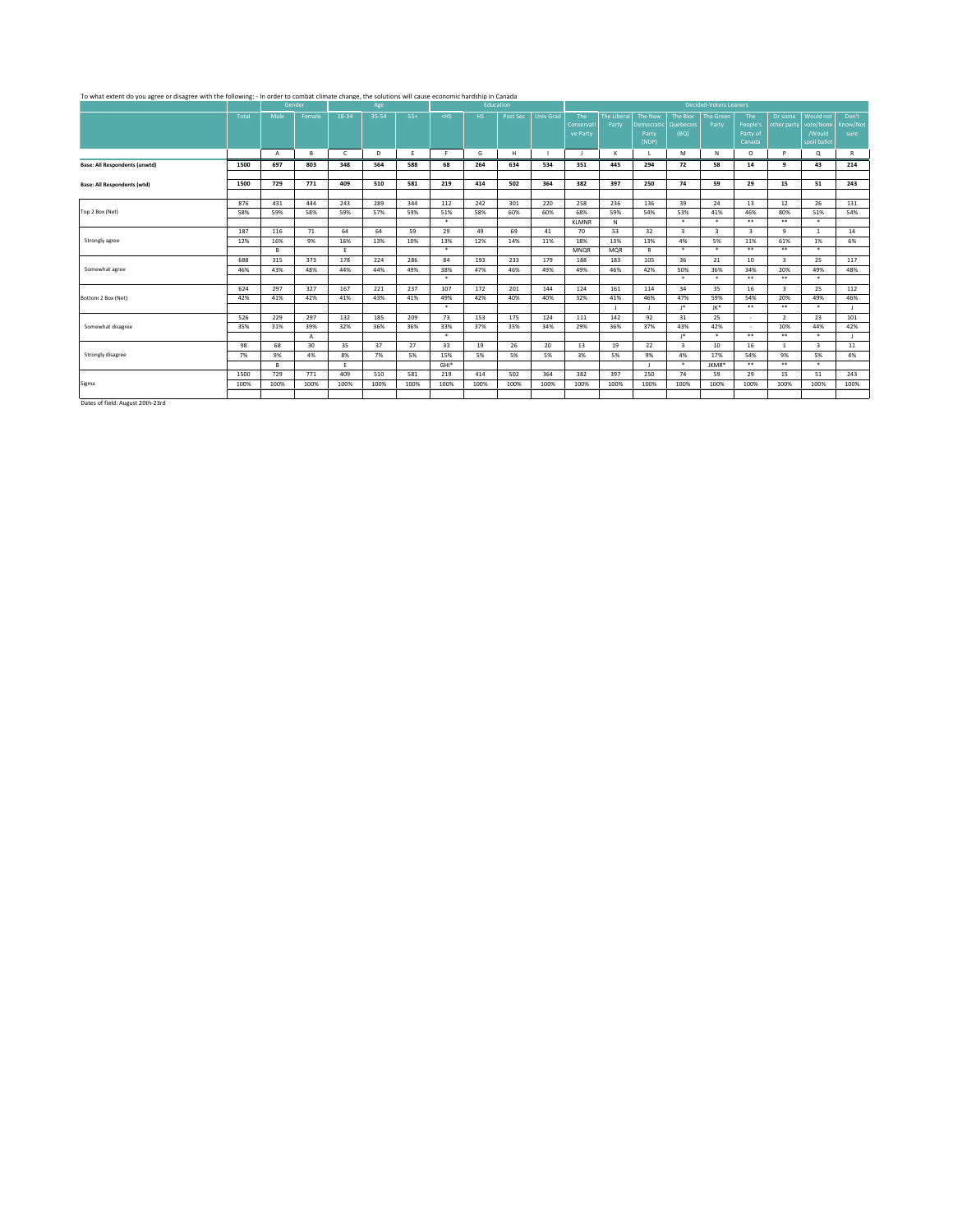| To what extent do you agree or disagree with the following: - In order to combat climate change, the solutions will cause economic hardship in Canada |            |                |            |              |            |            |            |            |            |                  |                   |                             |                       |                         |                               |                         |                         |                        |                   |
|-------------------------------------------------------------------------------------------------------------------------------------------------------|------------|----------------|------------|--------------|------------|------------|------------|------------|------------|------------------|-------------------|-----------------------------|-----------------------|-------------------------|-------------------------------|-------------------------|-------------------------|------------------------|-------------------|
|                                                                                                                                                       |            |                | Gender     |              | Age        |            |            | Education  |            |                  |                   |                             |                       |                         | <b>Decided-Voters Leaners</b> |                         |                         |                        |                   |
|                                                                                                                                                       | Total      | Male           | Female     | 18-34        | 35-54      | $55+$      | $<$ HS     | HS.        | Post Sec   | <b>Univ Grad</b> | The<br>Conservati | <b>The Liberal</b><br>Party | The New<br>Democratic | The Bloc<br>Quebecois   | <b>The Green</b><br>Party     | The<br>People's         | Or some<br>other party  | Would not<br>vote/None | Don't<br>Know/Not |
|                                                                                                                                                       |            |                |            |              |            |            |            |            |            |                  | ve Party          |                             | Party<br>(NDP)        | (BQ)                    |                               | Party of<br>Canada      |                         | /Would<br>spoil ballot | sure              |
|                                                                                                                                                       |            | $\overline{A}$ | в          | $\mathsf{C}$ | D          | E          | F.         | G          | H          |                  | - 1               | $\kappa$                    |                       | M                       | N                             | $\circ$                 | P                       | Q                      | R                 |
| <b>Base: All Respondents (unwtd)</b>                                                                                                                  | 1500       | 697            | 803        | 348          | 564        | 588        | 68         | 264        | 634        | 534              | 351               | 445                         | 294                   | 72                      | 58                            | 14                      | q                       | 43                     | 214               |
|                                                                                                                                                       |            |                |            |              |            |            |            |            |            |                  |                   |                             |                       |                         |                               |                         |                         |                        |                   |
| <b>Base: All Respondents (wtd)</b>                                                                                                                    | 1500       | 729            | 771        | 409          | 510        | 581        | 219        | 414        | 502        | 364              | 382               | 397                         | 250                   | 74                      | 59                            | 29                      | 15                      | 51                     | 243               |
|                                                                                                                                                       |            |                |            |              |            |            |            |            |            |                  |                   |                             |                       |                         |                               |                         |                         |                        |                   |
| Top 2 Box (Net)                                                                                                                                       | 876<br>58% | 431<br>59%     | 444<br>58% | 243<br>59%   | 289<br>57% | 344<br>59% | 112<br>51% | 242<br>58% | 301<br>60% | 220<br>60%       | 258<br>68%        | 236<br>59%                  | 136<br>54%            | 39<br>53%               | 24<br>41%                     | 13<br>46%               | 12<br>80%               | 26<br>51%              | 131<br>54%        |
|                                                                                                                                                       |            |                |            |              |            |            | $\ast$     |            |            |                  | <b>KLMNR</b>      | N                           |                       | $\ast$                  | $\ast$                        | $***$                   | $***$                   | $\ast$                 |                   |
|                                                                                                                                                       | 187        | 116            | 71         | 64           | 64         | 59         | 29         | 49         | 69         | 41               | 70                | 53                          | 32                    | 3                       | $\overline{\mathbf{3}}$       | $\overline{\mathbf{3}}$ | 9                       | $\mathbf{1}$           | 14                |
| Strongly agree                                                                                                                                        | 12%        | 16%            | 9%         | 16%          | 13%        | 10%        | 13%        | 12%        | 14%        | 11%              | 18%               | 13%                         | 13%                   | 4%                      | 5%                            | 11%                     | 61%                     | 1%                     | 6%                |
|                                                                                                                                                       |            | в              |            | Ε.           |            |            | $\ast$     |            |            |                  | MNQR              | <b>MOR</b>                  | $\mathsf{R}$          | $\star$                 | $\cdot$                       | $***$                   | $***$                   | $\star$                |                   |
|                                                                                                                                                       | 688        | 315            | 373        | 178          | 224        | 286        | 84         | 193        | 233        | 179              | 188               | 183                         | 105                   | 36                      | 21                            | 10                      | $\overline{\mathbf{3}}$ | 25                     | 117               |
| Somewhat agree                                                                                                                                        | 46%        | 43%            | 48%        | 44%          | 44%        | 49%        | 38%        | 47%        | 46%        | 49%              | 49%               | 46%                         | 42%                   | 50%                     | 36%                           | 34%                     | 20%                     | 49%                    | 48%               |
|                                                                                                                                                       |            |                |            |              |            |            | $\star$    |            |            |                  |                   |                             |                       | $\star$                 | $\star$                       | $***$                   | $***$                   | $\star$                |                   |
|                                                                                                                                                       | 624        | 297            | 327        | 167          | 221        | 237        | 107        | 172        | 201        | 144              | 124               | 161                         | 114                   | 34                      | 35                            | 16                      | $\overline{\mathbf{3}}$ | 25                     | 112               |
| Bottom 2 Box (Net)                                                                                                                                    | 42%        | 41%            | 42%        | 41%          | 43%        | 41%        | 49%        | 42%        | 40%        | 40%              | 32%               | 41%                         | 46%                   | 47%                     | 59%                           | 54%                     | 20%                     | 49%                    | 46%               |
|                                                                                                                                                       |            |                |            |              |            |            | $\ast$     |            |            |                  |                   |                             |                       | $1*$                    | JK*                           | $***$                   | $***$                   | $\star$                |                   |
|                                                                                                                                                       | 526        | 229            | 297        | 132          | 185        | 209        | 73         | 153        | 175        | 124              | 111               | 142                         | 92                    | 31                      | 25                            | ×                       | $\overline{2}$          | 23                     | 101               |
| Somewhat disagree                                                                                                                                     | 35%        | 31%            | 39%        | 32%          | 36%        | 36%        | 33%        | 37%        | 35%        | 34%              | 29%               | 36%                         | 37%                   | 43%                     | 42%                           |                         | 10%                     | 44%                    | 42%               |
|                                                                                                                                                       |            |                | A          |              |            |            | $\star$    |            |            |                  |                   |                             |                       | P.                      | $\star$                       | $***$                   | $***$                   | $\star$                |                   |
|                                                                                                                                                       | 98         | 68             | 30         | 35           | 37         | 27         | 33         | 19         | 26         | 20               | 13                | 19                          | 22                    | $\overline{\mathbf{3}}$ | 10                            | 16                      | $\mathbf{1}$            | $\mathbf{R}$           | $11\,$            |
| Strongly disagree                                                                                                                                     | 7%         | 9%             | 4%         | 8%           | 7%         | 5%         | 15%        | 5%         | 5%         | 5%               | 3%                | 5%                          | 9%                    | 4%                      | 17%                           | 54%                     | 9%                      | 5%                     | 4%                |
|                                                                                                                                                       |            | B.             |            | E            |            |            | $GHI*$     |            |            |                  |                   |                             |                       | $\star$                 | JKMR*                         | $***$                   | $***$                   | $\ast$                 |                   |
|                                                                                                                                                       | 1500       | 729            | 771        | 409          | 510        | 581        | 219        | 414        | 502        | 364              | 382               | 397                         | 250                   | 74                      | 59                            | 29                      | 15                      | 51                     | 243               |
| Sigma                                                                                                                                                 | 100%       | 100%           | 100%       | 100%         | 100%       | 100%       | 100%       | 100%       | 100%       | 100%             | 100%              | 100%                        | 100%                  | 100%                    | 100%                          | 100%                    | 100%                    | 100%                   | 100%              |
| Dates of field: August 20th-23rd                                                                                                                      |            |                |            |              |            |            |            |            |            |                  |                   |                             |                       |                         |                               |                         |                         |                        |                   |
|                                                                                                                                                       |            |                |            |              |            |            |            |            |            |                  |                   |                             |                       |                         |                               |                         |                         |                        |                   |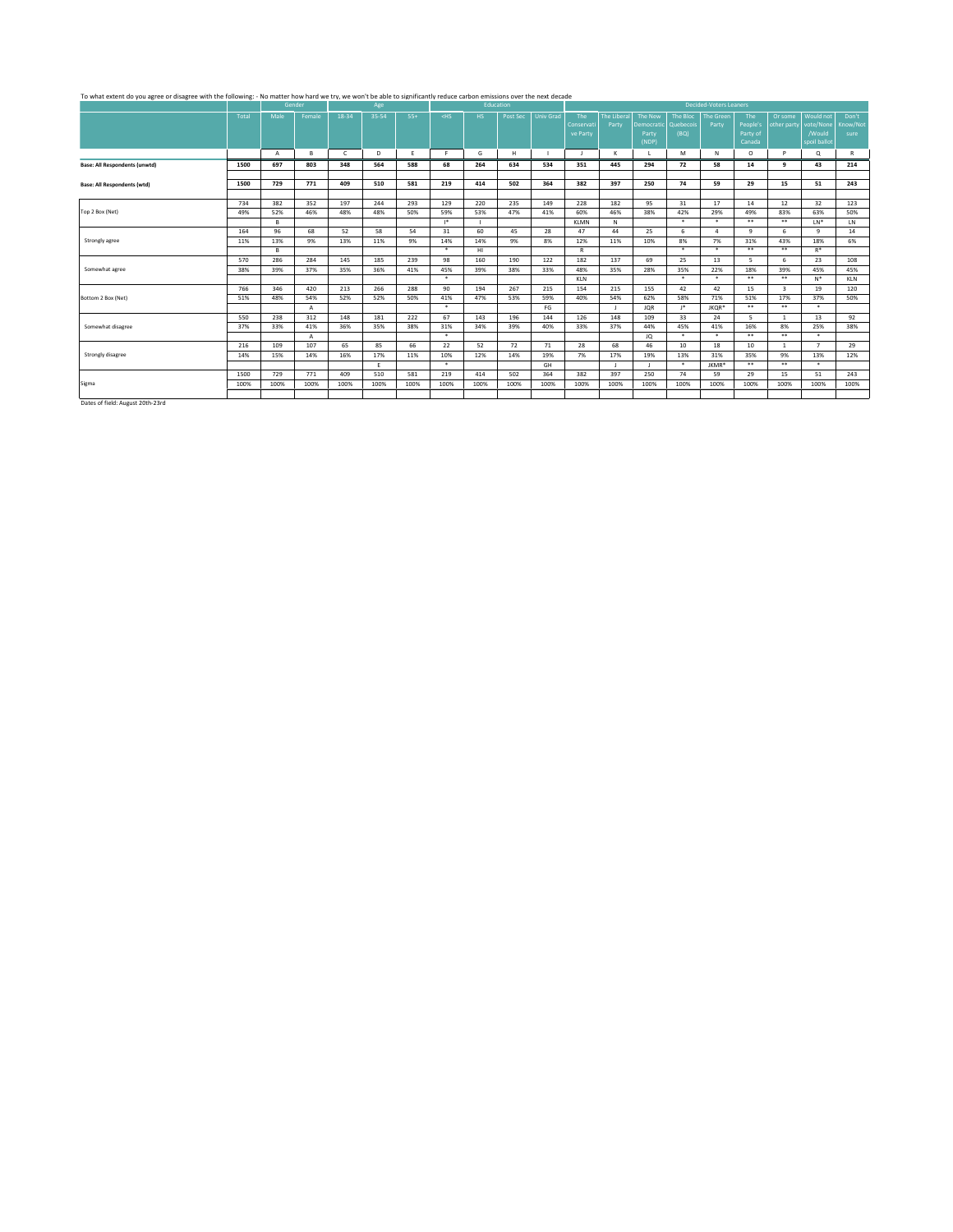# To what extent do you agree or disagree with the following: - No matter how hard we try, we won't be able to significantly reduce carbon emissions over the next decade<br>Age Education Decided-Voters Leaners over the Security

|                                      |       |                | Gender |       | Age   |       |         | Education |          |                  |            |                    |            |           | Decided-Voters Leaners |          |                         |                |              |
|--------------------------------------|-------|----------------|--------|-------|-------|-------|---------|-----------|----------|------------------|------------|--------------------|------------|-----------|------------------------|----------|-------------------------|----------------|--------------|
|                                      | Total | Male           | Female | 18-34 | 35-54 | $55+$ | $<$ HS  | HS.       | Post Sec | <b>Univ Grad</b> | The        | <b>The Liberal</b> | The New    | The Bloc  | <b>The Green</b>       | The      | Or some                 | Would not      | Don't        |
|                                      |       |                |        |       |       |       |         |           |          |                  | Conservati | Party              | Democratic | Quebecois | Party                  | People's | other party             | vote/None      | Know/Not     |
|                                      |       |                |        |       |       |       |         |           |          |                  | ve Party   |                    | Party      | (BQ)      |                        | Party of |                         | /Would         | sure         |
|                                      |       |                |        |       |       |       |         |           |          |                  |            |                    | (NDP)      |           |                        | Canada   |                         | spoil ballot   |              |
|                                      |       | $\overline{A}$ | в      | C     | D     | F     | F.      | G         | H        |                  |            | к                  |            | M         | N                      | $\circ$  | $\mathbf{D}$            | Q              | $\mathbb{R}$ |
| <b>Base: All Respondents (unwtd)</b> | 1500  | 697            | 803    | 348   | 564   | 588   | 68      | 264       | 634      | 534              | 351        | 445                | 294        | 72        | 58                     | 14       | q                       | 43             | 214          |
|                                      |       |                |        |       |       |       |         |           |          |                  |            |                    |            |           |                        |          |                         |                |              |
| <b>Base: All Respondents (wtd)</b>   | 1500  | 729            | 771    | 409   | 510   | 581   | 219     | 414       | 502      | 364              | 382        | 397                | 250        | 74        | 59                     | 29       | 15                      | 51             | 243          |
|                                      |       |                |        |       |       |       |         |           |          |                  |            |                    |            |           |                        |          |                         |                |              |
|                                      | 734   | 382            | 352    | 197   | 244   | 293   | 129     | 220       | 235      | 149              | 228        | 182                | 95         | 31        | 17                     | 14       | 12                      | 32             | 123          |
| Top 2 Box (Net)                      | 49%   | 52%            | 46%    | 48%   | 48%   | 50%   | 59%     | 53%       | 47%      | 41%              | 60%        | 46%                | 38%        | 42%       | 29%                    | 49%      | 83%                     | 63%            | 50%          |
|                                      |       | B.             |        |       |       |       | $1*$    |           |          |                  | KLMN       | N                  |            | $\star$   | $\star$                | $***$    | $***$                   | $LN^*$         | LN           |
|                                      | 164   | 96             | 68     | 52    | 58    | 54    | 31      | 60        | 45       | 28               | 47         | 44                 | 25         | 6         | 4                      | q        | 6                       | $\Omega$       | 14           |
| Strongly agree                       | 11%   | 13%            | 9%     | 13%   | 11%   | 9%    | 14%     | 14%       | 9%       | 8%               | 12%        | 11%                | 10%        | 8%        | 7%                     | 31%      | 43%                     | 18%            | 6%           |
|                                      |       | R              |        |       |       |       | $\star$ | HI        |          |                  | R          |                    |            | $\star$   | $\star$                | $***$    | $***$                   | $R^*$          |              |
|                                      | 570   | 286            | 284    | 145   | 185   | 239   | 98      | 160       | 190      | 122              | 182        | 137                | 69         | 25        | 13                     | 5        | 6                       | 23             | 108          |
| Somewhat agree                       | 38%   | 39%            | 37%    | 35%   | 36%   | 41%   | 45%     | 39%       | 38%      | 33%              | 48%        | 35%                | 28%        | 35%       | 22%                    | 18%      | 39%                     | 45%            | 45%          |
|                                      |       |                |        |       |       |       | $\star$ |           |          |                  | KLN        |                    |            | $\star$   | $\star$                | $***$    | $***$                   | $N^*$          | <b>KLN</b>   |
|                                      | 766   | 346            | 420    | 213   | 266   | 288   | 90      | 194       | 267      | 215              | 154        | 215                | 155        | 42        | 42                     | 15       | $\overline{\mathbf{3}}$ | 19             | 120          |
| Bottom 2 Box (Net)                   | 51%   | 48%            | 54%    | 52%   | 52%   | 50%   | 41%     | 47%       | 53%      | 59%              | 40%        | 54%                | 62%        | 58%       | 71%                    | 51%      | 17%                     | 37%            | 50%          |
|                                      |       |                | A      |       |       |       | $\star$ |           |          | FG               |            |                    | <b>JQR</b> | $1*$      | JKOR*                  | $* *$    | $***$                   | $\star$        |              |
|                                      | 550   | 238            | 312    | 148   | 181   | 222   | 67      | 143       | 196      | 144              | 126        | 148                | 109        | 33        | 24                     | 5        | $\overline{1}$          | 13             | 92           |
| Somewhat disagree                    | 37%   | 33%            | 41%    | 36%   | 35%   | 38%   | 31%     | 34%       | 39%      | 40%              | 33%        | 37%                | 44%        | 45%       | 41%                    | 16%      | 8%                      | 25%            | 38%          |
|                                      |       |                | A      |       |       |       | $\ast$  |           |          |                  |            |                    | JQ         | $\ast$    | $\ast$                 | $* *$    | $***$                   | $\star$        |              |
|                                      | 216   | 109            | 107    | 65    | 85    | 66    | 22      | 52        | 72       | 71               | 28         | 68                 | 46         | 10        | 18                     | 10       | $\mathbf{1}$            | $\overline{7}$ | 29           |
| Strongly disagree                    | 14%   | 15%            | 14%    | 16%   | 17%   | 11%   | 10%     | 12%       | 14%      | 19%              | 7%         | 17%                | 19%        | 13%       | 31%                    | 35%      | 9%                      | 13%            | 12%          |
|                                      |       |                |        |       | Ε.    |       | $\star$ |           |          | GH               |            |                    |            | $\ast$    | JKMR*                  | $* *$    | $***$                   | $\star$        |              |
|                                      | 1500  | 729            | 771    | 409   | 510   | 581   | 219     | 414       | 502      | 364              | 382        | 397                | 250        | 74        | 59                     | 29       | 15                      | 51             | 243          |
| Sigma                                | 100%  | 100%           | 100%   | 100%  | 100%  | 100%  | 100%    | 100%      | 100%     | 100%             | 100%       | 100%               | 100%       | 100%      | 100%                   | 100%     | 100%                    | 100%           | 100%         |
|                                      |       |                |        |       |       |       |         |           |          |                  |            |                    |            |           |                        |          |                         |                |              |
|                                      |       |                |        |       |       |       |         |           |          |                  |            |                    |            |           |                        |          |                         |                |              |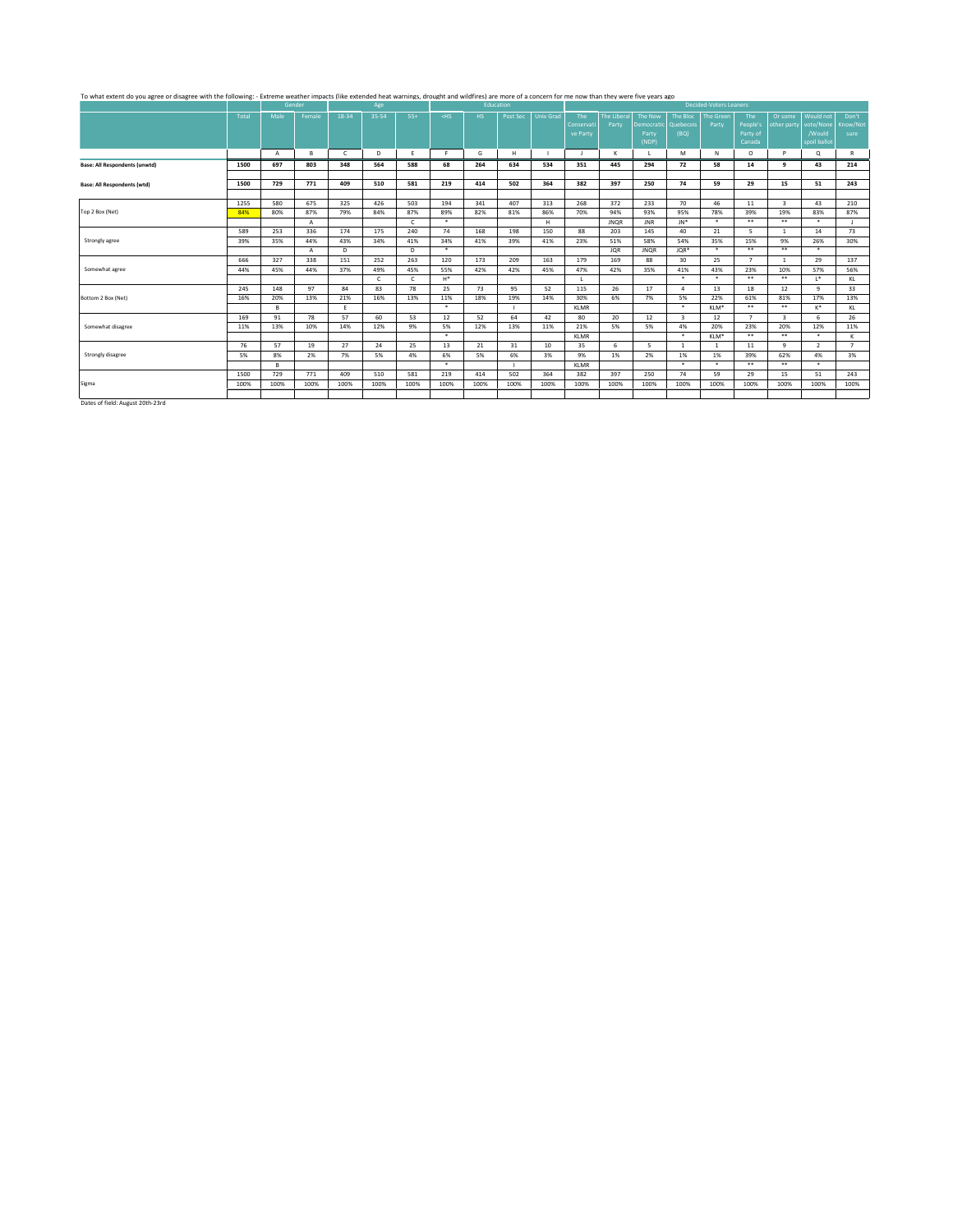# To what extent do you agree or disagree with the following: - Extreme wather impacts (like extended heat warnings, drought and wildfires) are more of a concern for me now than they were five years ago<br>Gender General Manage

|                                      |       |              | Gender       |              | Age   |            |         |      | Education |                  |             |                   |                          |                         | Decided-Voters Leaners |                |                         |                |             |
|--------------------------------------|-------|--------------|--------------|--------------|-------|------------|---------|------|-----------|------------------|-------------|-------------------|--------------------------|-------------------------|------------------------|----------------|-------------------------|----------------|-------------|
|                                      | Total | Male         | Female       | 18-34        | 35-54 | $55+$      | $<$ HS  | HS.  | Post Sec  | <b>Univ Grad</b> | The         | <b>The Libera</b> | The New                  | The Bloc                | <b>The Green</b>       | The            | Or some                 | Would not      | Don't       |
|                                      |       |              |              |              |       |            |         |      |           |                  | Conservati  | Party             | Democratic               | Quebecois               | Party                  | People's       | other party             | vote/None      | Know/Not    |
|                                      |       |              |              |              |       |            |         |      |           |                  | ve Party    |                   | Party                    | (BQ)                    |                        | Party of       |                         | /Would         | sure        |
|                                      |       |              |              |              |       |            |         |      |           |                  |             |                   | (NDP)                    |                         |                        | Canada         |                         | spoil ballot   |             |
|                                      |       | $\mathsf{A}$ | в            | $\mathsf{C}$ | D     | F          | F.      | G    | H         |                  | - 11        | к                 |                          | M                       | N                      | $\circ$        | <b>P</b>                | Q              | R           |
| <b>Base: All Respondents (unwtd)</b> | 1500  | 697          | 803          | 348          | 564   | 588        | 68      | 264  | 634       | 534              | 351         | 445               | 294                      | 72                      | 58                     | 14             | q                       | 43             | 214         |
|                                      |       |              |              |              |       |            |         |      |           |                  |             |                   |                          |                         |                        |                |                         |                |             |
| <b>Base: All Respondents (wtd)</b>   | 1500  | 729          | 771          | 409          | 510   | 581        | 219     | 414  | 502       | 364              | 382         | 397               | 250                      | 74                      | 59                     | 29             | 15                      | 51             | 243         |
|                                      |       |              |              |              |       |            |         |      |           |                  |             |                   |                          |                         |                        |                |                         |                |             |
|                                      | 1255  | 580          | 675          | 325          | 426   | 503        | 194     | 341  | 407       | 313              | 268         | 372               | 233                      | 70                      | 46                     | 11             | $\overline{\mathbf{3}}$ | 43             | 210         |
| Top 2 Box (Net)                      | 84%   | 80%          | 87%          | 79%          | 84%   | 87%        | 89%     | 82%  | 81%       | 86%              | 70%         | 94%               | 93%                      | 95%                     | 78%                    | 39%            | 19%                     | 83%            | 87%         |
|                                      |       |              | $\mathsf{A}$ |              |       | $\epsilon$ | $\star$ |      |           | H                |             | <b>JNOR</b>       | <b>JNR</b>               | $JN^*$                  | $\ast$                 | $* *$          | **                      | $\star$        |             |
|                                      | 589   | 253          | 336          | 174          | 175   | 240        | 74      | 168  | 198       | 150              | 88          | 203               | 145                      | 40                      | 21                     | 5              | $\overline{1}$          | 14             | 73          |
| Strongly agree                       | 39%   | 35%          | 44%          | 43%          | 34%   | 41%        | 34%     | 41%  | 39%       | 41%              | 23%         | 51%               | 58%                      | 54%                     | 35%                    | 15%            | 9%                      | 26%            | 30%         |
|                                      |       |              | A            | D            |       | D.         | $\star$ |      |           |                  |             | <b>JQR</b>        | <b>JNQR</b>              | JQR*                    | $\star$                | $***$          | $***$                   | $\star$        |             |
|                                      | 666   | 327          | 338          | 151          | 252   | 263        | 120     | 173  | 209       | 163              | 179         | 169               | 88                       | 30                      | 25                     | $\mathbf{z}$   | $\overline{1}$          | 29             | 137         |
| Somewhat agree                       | 44%   | 45%          | 44%          | 37%          | 49%   | 45%        | 55%     | 42%  | 42%       | 45%              | 47%         | 42%               | 35%                      | 41%                     | 43%                    | 23%            | 10%                     | 57%            | 56%         |
|                                      |       |              |              |              | C     |            | $H^*$   |      |           |                  |             |                   |                          | $\star$                 | $\star$                | $***$          | $***$                   | $1*$           | KL          |
|                                      | 245   | 148          | 97           | 84           | 83    | 78         | 25      | 73   | 95        | 52               | 115         | 26                | 17                       | $\Lambda$               | 13                     | 18             | 12                      | $\mathbf{q}$   | 33          |
| Bottom 2 Box (Net)                   | 16%   | 20%          | 13%          | 21%          | 16%   | 13%        | 11%     | 18%  | 19%       | 14%              | 30%         | 6%                | 7%                       | 5%                      | 22%                    | 61%            | 81%                     | 17%            | 13%         |
|                                      |       | R            |              | E            |       |            | $\star$ |      |           |                  | <b>KLMR</b> |                   |                          | $\star$                 | KLM*                   | $***$          | **                      | K*             | KL          |
|                                      | 169   | 91           | 78           | 57           | 60    | 53         | 12      | 52   | 64        | 42               | 80          | 20                | 12                       | $\overline{\mathbf{3}}$ | 12                     | $\overline{7}$ | $\overline{\mathbf{3}}$ | 6              | 26          |
| Somewhat disagree                    | 11%   | 13%          | 10%          | 14%          | 12%   | 9%         | 5%      | 12%  | 13%       | 11%              | 21%         | 5%                | 5%                       | 4%                      | 20%                    | 23%            | 20%                     | 12%            | 11%         |
|                                      |       |              |              |              |       |            | $\star$ |      |           |                  | <b>KLMR</b> |                   |                          | $\ast$                  | KLM*                   | $* *$          | $***$                   | $\star$        | ĸ           |
|                                      | 76    | 57           | 19           | 27           | 24    | 25         | 13      | 21   | 31        | 10               | 35          | 6                 | $\overline{\phantom{a}}$ | $\mathbf{1}$            | $\mathbf{1}$           | 11             | $\mathbf{q}$            | $\overline{2}$ | $7^{\circ}$ |
| Strongly disagree                    | 5%    | 8%           | 2%           | 7%           | 5%    | 4%         | 6%      | 5%   | 6%        | 3%               | 9%          | 1%                | 2%                       | 1%                      | 1%                     | 39%            | 62%                     | 4%             | 3%          |
|                                      |       | B.           |              |              |       |            | $\star$ |      | п.        |                  | <b>KLMR</b> |                   |                          | $\star$                 | $\ast$                 | $* *$          | **                      | $\star$        |             |
|                                      | 1500  | 729          | 771          | 409          | 510   | 581        | 219     | 414  | 502       | 364              | 382         | 397               | 250                      | 74                      | 59                     | 29             | 15                      | 51             | 243         |
| Sigma                                | 100%  | 100%         | 100%         | 100%         | 100%  | 100%       | 100%    | 100% | 100%      | 100%             | 100%        | 100%              | 100%                     | 100%                    | 100%                   | 100%           | 100%                    | 100%           | 100%        |
|                                      |       |              |              |              |       |            |         |      |           |                  |             |                   |                          |                         |                        |                |                         |                |             |
| $\sim$ $\sim$                        |       |              |              |              |       |            |         |      |           |                  |             |                   |                          |                         |                        |                |                         |                |             |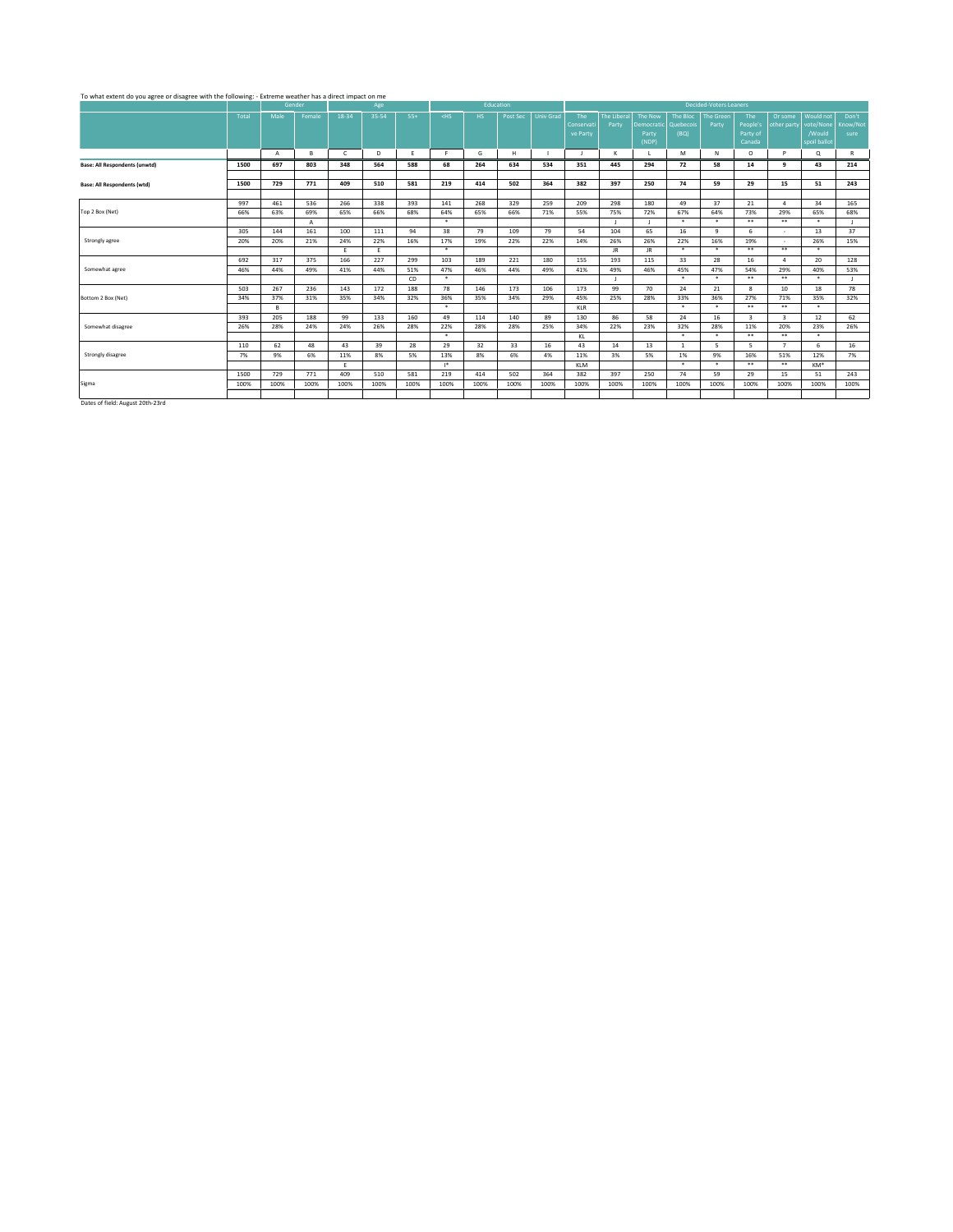## To what extent do you agree or disagree with the following: - Extreme weather has a direct impact on me

|                                                                                                                                                                                                                                   |       |                | Gender |              | Age   |       |         | Education |          |                  |            |             |            |              | <b>Decided-Voters Leaners</b> |                         |                         |              |              |
|-----------------------------------------------------------------------------------------------------------------------------------------------------------------------------------------------------------------------------------|-------|----------------|--------|--------------|-------|-------|---------|-----------|----------|------------------|------------|-------------|------------|--------------|-------------------------------|-------------------------|-------------------------|--------------|--------------|
|                                                                                                                                                                                                                                   | Total | Male           | Female | 18-34        | 35-54 | $55+$ | $<$ HS  | HS.       | Post Sec | <b>Univ Grad</b> | The        | The Liberal | The New    | The Bloc     | <b>The Green</b>              | The                     | Or some                 | Would not    | Don't        |
|                                                                                                                                                                                                                                   |       |                |        |              |       |       |         |           |          |                  | Conservati | Party       | Democratic | Quebecois    | Party                         | People's                | other party             | vote/None    | Know/Not     |
|                                                                                                                                                                                                                                   |       |                |        |              |       |       |         |           |          |                  | ve Party   |             | Party      | (BQ)         |                               | Party of                |                         | /Would       | sure         |
|                                                                                                                                                                                                                                   |       |                |        |              |       |       |         |           |          |                  |            |             | (NDP)      |              |                               | Canada                  |                         | spoil ballot |              |
|                                                                                                                                                                                                                                   |       | $\overline{A}$ | в      | $\mathsf{C}$ | D     | E     | F.      | G         | H        |                  | Ι.         | к           |            | M            | N                             | $\circ$                 | P                       | Q            | R            |
| <b>Base: All Respondents (unwtd)</b>                                                                                                                                                                                              | 1500  | 697            | 803    | 348          | 564   | 588   | 68      | 264       | 634      | 534              | 351        | 445         | 294        | 72           | 58                            | 14                      | q                       | 43           | 214          |
|                                                                                                                                                                                                                                   |       |                |        |              |       |       |         |           |          |                  |            |             |            |              |                               |                         |                         |              |              |
| <b>Base: All Respondents (wtd)</b>                                                                                                                                                                                                | 1500  | 729            | 771    | 409          | 510   | 581   | 219     | 414       | 502      | 364              | 382        | 397         | 250        | 74           | 59                            | 29                      | 15                      | 51           | 243          |
|                                                                                                                                                                                                                                   |       |                |        |              |       |       |         |           |          |                  |            |             |            |              |                               |                         |                         |              |              |
|                                                                                                                                                                                                                                   | 997   | 461            | 536    | 266          | 338   | 393   | 141     | 268       | 329      | 259              | 209        | 298         | 180        | 49           | 37                            | 21                      | $\boldsymbol{\Lambda}$  | 34           | 165          |
| Top 2 Box (Net)                                                                                                                                                                                                                   | 66%   | 63%            | 69%    | 65%          | 66%   | 68%   | 64%     | 65%       | 66%      | 71%              | 55%        | 75%         | 72%        | 67%          | 64%                           | 73%                     | 29%                     | 65%          | 68%          |
|                                                                                                                                                                                                                                   |       |                | Α      |              |       |       | $\star$ |           |          |                  |            |             |            | $\star$      | $\star$                       | $***$                   | $***$                   | $\star$      | $\mathbf{I}$ |
|                                                                                                                                                                                                                                   | 305   | 144            | 161    | 100          | 111   | 94    | 38      | 79        | 109      | 79               | 54         | 104         | 65         | 16           | 9                             | 6                       | $\sim$                  | 13           | 37           |
| Strongly agree                                                                                                                                                                                                                    | 20%   | 20%            | 21%    | 24%          | 22%   | 16%   | 17%     | 19%       | 22%      | 22%              | 14%        | 26%         | 26%        | 22%          | 16%                           | 19%                     | $\sim$                  | 26%          | 15%          |
|                                                                                                                                                                                                                                   |       |                |        | Ε.           | Ε.    |       | $\star$ |           |          |                  |            | JR.         | JR.        | $\star$      | $\star$                       | $* *$                   | $***$                   | $\star$      |              |
|                                                                                                                                                                                                                                   | 692   | 317            | 375    | 166          | 227   | 299   | 103     | 189       | 221      | 180              | 155        | 193         | 115        | 33           | 28                            | 16                      | $\boldsymbol{A}$        | 20           | 128          |
| Somewhat agree                                                                                                                                                                                                                    | 46%   | 44%            | 49%    | 41%          | 44%   | 51%   | 47%     | 46%       | 44%      | 49%              | 41%        | 49%         | 46%        | 45%          | 47%                           | 54%                     | 29%                     | 40%          | 53%          |
|                                                                                                                                                                                                                                   |       |                |        |              |       | CD    | $\star$ |           |          |                  |            |             |            | $\star$      | $\ast$                        | $* *$                   | $***$                   | $\star$      | $\mathbf{I}$ |
|                                                                                                                                                                                                                                   | 503   | 267            | 236    | 143          | 172   | 188   | 78      | 146       | 173      | 106              | 173        | 99          | 70         | 24           | 21                            | 8                       | 10                      | 18           | 78           |
| Bottom 2 Box (Net)                                                                                                                                                                                                                | 34%   | 37%            | 31%    | 35%          | 34%   | 32%   | 36%     | 35%       | 34%      | 29%              | 45%        | 25%         | 28%        | 33%          | 36%                           | 27%                     | 71%                     | 35%          | 32%          |
|                                                                                                                                                                                                                                   |       | в              |        |              |       |       | $\star$ |           |          |                  | KLR        |             |            | $\ast$       | $\ast$                        | $* *$                   | $***$                   | $\star$      |              |
|                                                                                                                                                                                                                                   | 393   | 205            | 188    | 99           | 133   | 160   | 49      | 114       | 140      | 89               | 130        | 86          | 58         | 24           | 16                            | $\overline{\mathbf{3}}$ | $\overline{\mathbf{3}}$ | 12           | 62           |
| Somewhat disagree                                                                                                                                                                                                                 | 26%   | 28%            | 24%    | 24%          | 26%   | 28%   | 22%     | 28%       | 28%      | 25%              | 34%        | 22%         | 23%        | 32%          | 28%                           | 11%                     | 20%                     | 23%          | 26%          |
|                                                                                                                                                                                                                                   |       |                |        |              |       |       | $\star$ |           |          |                  | KL         |             |            | $\star$      | $\ast$                        | $* *$                   | $***$                   | $\star$      |              |
|                                                                                                                                                                                                                                   | 110   | 62             | 48     | 43           | 39    | 28    | 29      | 32        | 33       | 16               | 43         | 14          | 13         | $\mathbf{1}$ | 5                             | 5                       | $\overline{7}$          | 6            | 16           |
| Strongly disagree                                                                                                                                                                                                                 | 7%    | 9%             | 6%     | 11%          | 8%    | 5%    | 13%     | 8%        | 6%       | 4%               | 11%        | 3%          | 5%         | 1%           | 9%                            | 16%                     | 51%                     | 12%          | 7%           |
|                                                                                                                                                                                                                                   |       |                |        | Ε.           |       |       | $1*$    |           |          |                  | KLM        |             |            | $\ast$       | $\ast$                        | $* *$                   | $***$                   | KM*          |              |
|                                                                                                                                                                                                                                   | 1500  | 729            | 771    | 409          | 510   | 581   | 219     | 414       | 502      | 364              | 382        | 397         | 250        | 74           | 59                            | 29                      | 15                      | 51           | 243          |
| Sigma                                                                                                                                                                                                                             | 100%  | 100%           | 100%   | 100%         | 100%  | 100%  | 100%    | 100%      | 100%     | 100%             | 100%       | 100%        | 100%       | 100%         | 100%                          | 100%                    | 100%                    | 100%         | 100%         |
|                                                                                                                                                                                                                                   |       |                |        |              |       |       |         |           |          |                  |            |             |            |              |                               |                         |                         |              |              |
| $\mathbf{r}$ . And the second second second second second second second second second second second second second second second second second second second second second second second second second second second second second |       |                |        |              |       |       |         |           |          |                  |            |             |            |              |                               |                         |                         |              |              |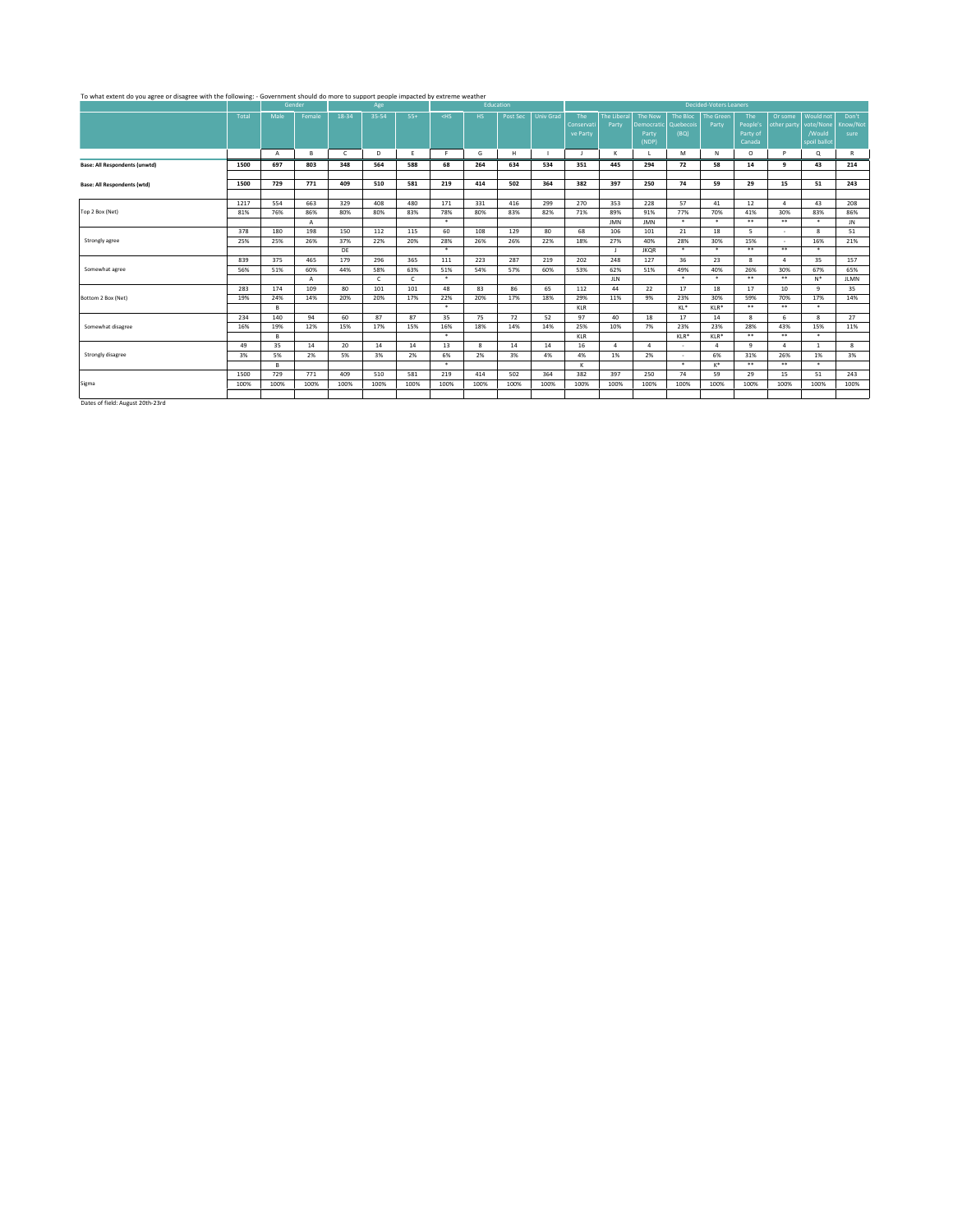## To what extent do you agree or disagree with the following: - Government should do more to support people impacted by extreme weather

|                                                                                                                                                                                                                                   |       |                | Gender |              | Age   |            |         | Education |          |                  |              |                  |                |           | <b>Decided-Voters Leaners</b> |              |                  |              |             |
|-----------------------------------------------------------------------------------------------------------------------------------------------------------------------------------------------------------------------------------|-------|----------------|--------|--------------|-------|------------|---------|-----------|----------|------------------|--------------|------------------|----------------|-----------|-------------------------------|--------------|------------------|--------------|-------------|
|                                                                                                                                                                                                                                   | Total | Male           | Female | 18-34        | 35-54 | $55+$      | $<$ HS  | HS.       | Post Sec | <b>Univ Grad</b> | The          | The Liberal      | The New        | The Bloc  | <b>The Green</b>              | The          | Or some          | Would not    | Don't       |
|                                                                                                                                                                                                                                   |       |                |        |              |       |            |         |           |          |                  | Conservati   | Party            | Democratic     | Quebecois | Party                         | People's     | other party      | vote/None    | Know/Not    |
|                                                                                                                                                                                                                                   |       |                |        |              |       |            |         |           |          |                  | ve Party     |                  | Party          | (BQ)      |                               | Party of     |                  | /Would       | sure        |
|                                                                                                                                                                                                                                   |       |                |        |              |       |            |         |           |          |                  |              |                  | (NDP)          |           |                               | Canada       |                  | spoil ballot |             |
|                                                                                                                                                                                                                                   |       | $\overline{A}$ | в      | $\mathsf{C}$ | D     | Ε          | F.      | G         | H        |                  | $\mathbf{J}$ | к                |                | M         | N                             | $\circ$      | P                | Q            | R           |
| <b>Base: All Respondents (unwtd)</b>                                                                                                                                                                                              | 1500  | 697            | 803    | 348          | 564   | 588        | 68      | 264       | 634      | 534              | 351          | 445              | 294            | 72        | 58                            | 14           | q                | 43           | 214         |
|                                                                                                                                                                                                                                   |       |                |        |              |       |            |         |           |          |                  |              |                  |                |           |                               |              |                  |              |             |
| <b>Base: All Respondents (wtd)</b>                                                                                                                                                                                                | 1500  | 729            | 771    | 409          | 510   | 581        | 219     | 414       | 502      | 364              | 382          | 397              | 250            | 74        | 59                            | 29           | 15               | 51           | 243         |
|                                                                                                                                                                                                                                   |       |                |        |              |       |            |         |           |          |                  |              |                  |                |           |                               |              |                  |              |             |
|                                                                                                                                                                                                                                   | 1217  | 554            | 663    | 329          | 408   | 480        | 171     | 331       | 416      | 299              | 270          | 353              | 228            | 57        | 41                            | 12           | $\boldsymbol{A}$ | 43           | 208         |
| Top 2 Box (Net)                                                                                                                                                                                                                   | 81%   | 76%            | 86%    | 80%          | 80%   | 83%        | 78%     | 80%       | 83%      | 82%              | 71%          | 89%              | 91%            | 77%       | 70%                           | 41%          | 30%              | 83%          | 86%         |
|                                                                                                                                                                                                                                   |       |                | Α      |              |       |            | $\star$ |           |          |                  |              | <b>JMN</b>       | <b>JMN</b>     | $\star$   | $\star$                       | $***$        | $***$            | $\star$      | JN          |
|                                                                                                                                                                                                                                   | 378   | 180            | 198    | 150          | 112   | 115        | 60      | 108       | 129      | 80               | 68           | 106              | 101            | 21        | 18                            | 5            | $\sim$           | $\mathbf{R}$ | 51          |
| Strongly agree                                                                                                                                                                                                                    | 25%   | 25%            | 26%    | 37%          | 22%   | 20%        | 28%     | 26%       | 26%      | 22%              | 18%          | 27%              | 40%            | 28%       | 30%                           | 15%          | $\sim$           | 16%          | 21%         |
|                                                                                                                                                                                                                                   |       |                |        | DE           |       |            | $\star$ |           |          |                  |              |                  | <b>JKQR</b>    | $\star$   | $\ast$                        | $* *$        | $***$            | $\star$      |             |
|                                                                                                                                                                                                                                   | 839   | 375            | 465    | 179          | 296   | 365        | 111     | 223       | 287      | 219              | 202          | 248              | 127            | 36        | 23                            | 8            | $\boldsymbol{A}$ | 35           | 157         |
| Somewhat agree                                                                                                                                                                                                                    | 56%   | 51%            | 60%    | 44%          | 58%   | 63%        | 51%     | 54%       | 57%      | 60%              | 53%          | 62%              | 51%            | 49%       | 40%                           | 26%          | 30%              | 67%          | 65%         |
|                                                                                                                                                                                                                                   |       |                | A      |              | c     | $\epsilon$ | $\ast$  |           |          |                  |              | <b>JLN</b>       |                | $\star$   | $\star$                       | $* *$        | $***$            | $N^*$        | <b>JLMN</b> |
|                                                                                                                                                                                                                                   | 283   | 174            | 109    | 80           | 101   | 101        | 48      | 83        | 86       | 65               | 112          | 44               | 22             | 17        | 18                            | 17           | 10               | 9            | 35          |
| Bottom 2 Box (Net)                                                                                                                                                                                                                | 19%   | 24%            | 14%    | 20%          | 20%   | 17%        | 22%     | 20%       | 17%      | 18%              | 29%          | 11%              | 9%             | 23%       | 30%                           | 59%          | 70%              | 17%          | 14%         |
|                                                                                                                                                                                                                                   |       | в              |        |              |       |            | $\ast$  |           |          |                  | KLR          |                  |                | $KL^*$    | $KLR*$                        | $* *$        | $***$            | $\star$      |             |
|                                                                                                                                                                                                                                   | 234   | 140            | 94     | 60           | 87    | 87         | 35      | 75        | 72       | 52               | 97           | 40               | 18             | 17        | 14                            | 8            | 6                | $\mathbf{R}$ | 27          |
| Somewhat disagree                                                                                                                                                                                                                 | 16%   | 19%            | 12%    | 15%          | 17%   | 15%        | 16%     | 18%       | 14%      | 14%              | 25%          | 10%              | 7%             | 23%       | 23%                           | 28%          | 43%              | 15%          | 11%         |
|                                                                                                                                                                                                                                   |       | B.             |        |              |       |            | $\star$ |           |          |                  | KLR          |                  |                | $KLR*$    | $KLR*$                        | $* *$        | $* *$            | $\star$      |             |
|                                                                                                                                                                                                                                   | 49    | 35             | 14     | 20           | 14    | 14         | 13      | 8         | 14       | 14               | 16           | $\boldsymbol{A}$ | $\overline{a}$ | $\sim$    | $\mathfrak{a}$                | $\mathbf{q}$ | $\boldsymbol{A}$ | $\mathbf{1}$ | 8           |
| Strongly disagree                                                                                                                                                                                                                 | 3%    | 5%             | 2%     | 5%           | 3%    | 2%         | 6%      | 2%        | 3%       | 4%               | 4%           | 1%               | 2%             | $\sim$    | 6%                            | 31%          | 26%              | 1%           | 3%          |
|                                                                                                                                                                                                                                   |       | в              |        |              |       |            | $\star$ |           |          |                  | K            |                  |                | $\star$   | $K^*$                         | $* *$        | $***$            | $\star$      |             |
|                                                                                                                                                                                                                                   | 1500  | 729            | 771    | 409          | 510   | 581        | 219     | 414       | 502      | 364              | 382          | 397              | 250            | 74        | 59                            | 29           | 15               | 51           | 243         |
| Sigma                                                                                                                                                                                                                             | 100%  | 100%           | 100%   | 100%         | 100%  | 100%       | 100%    | 100%      | 100%     | 100%             | 100%         | 100%             | 100%           | 100%      | 100%                          | 100%         | 100%             | 100%         | 100%        |
|                                                                                                                                                                                                                                   |       |                |        |              |       |            |         |           |          |                  |              |                  |                |           |                               |              |                  |              |             |
| $\frac{1}{2}$ . And the second contract of the second contract of the second contract of the second contract of the second contract of the second contract of the second contract of the second contract of the second contract o |       |                |        |              |       |            |         |           |          |                  |              |                  |                |           |                               |              |                  |              |             |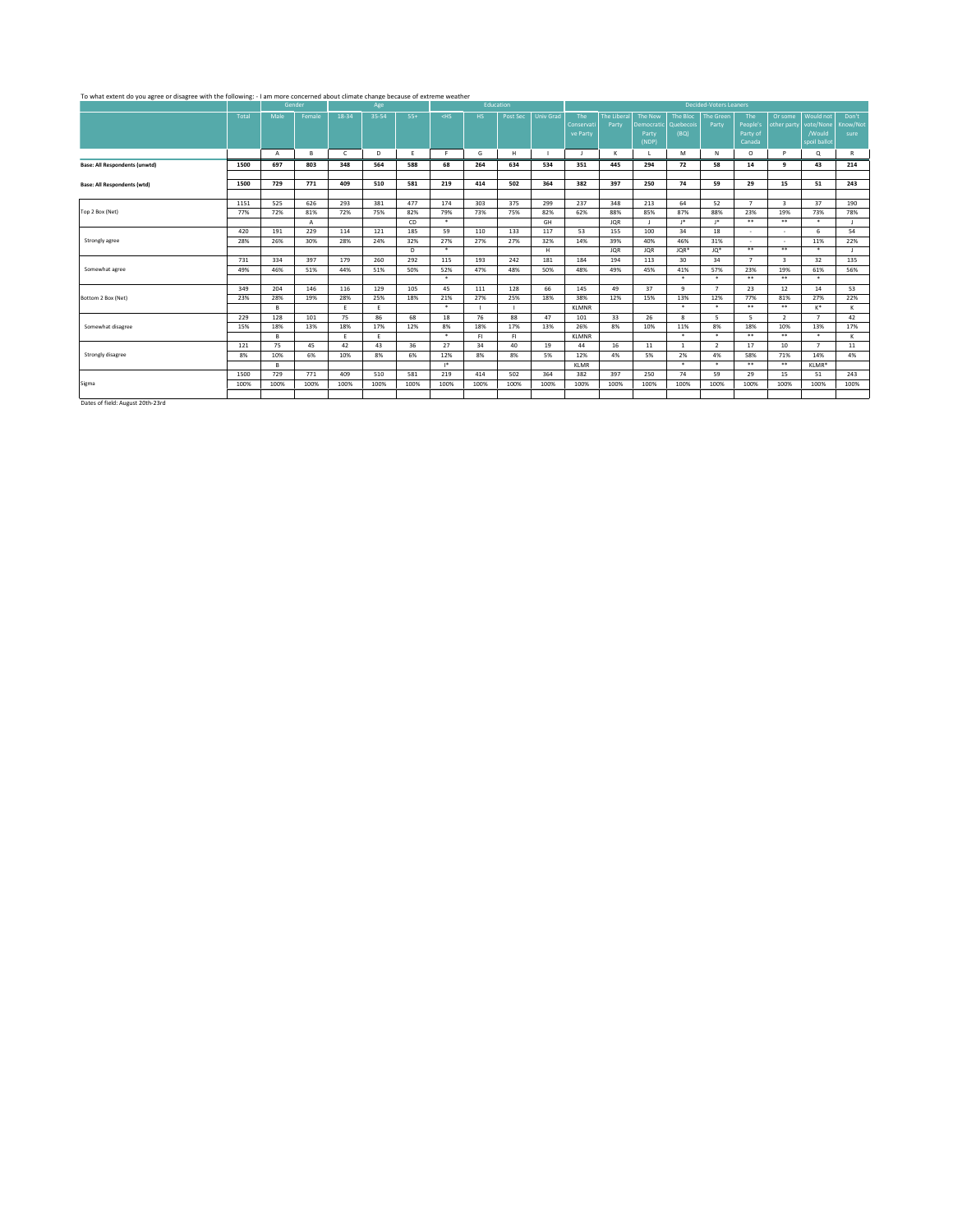#### To what extent do you agree or disagree with the following: - I am more concerned about climate change because of extreme weather

| 35-54<br>18-34<br>$55+$<br>Post Sec<br><b>Univ Grad</b><br>The Bloc<br><b>The Green</b><br>Would not<br>Don't<br>Total<br>Male<br>Female<br>$<$ HS<br>HS.<br>The<br>The Liberal<br>The New<br>The<br>Or some<br>People's<br>vote/None<br>Party<br>Know/Not<br>Conservati<br>Party<br>Democratic<br>Quebecois<br>other party<br>(BQ)<br>Party of<br>/Would<br>ve Party<br>Party<br>sure<br>(NDP)<br>Canada<br>spoil ballot<br>D<br>G<br>H<br>M<br>N<br>$\circ$<br>P<br>$\alpha$<br>R<br>$\overline{A}$<br>в<br>$\epsilon$<br>E<br>F.<br>к<br>$\blacksquare$<br>697<br>803<br>564<br>68<br>264<br>634<br>72<br>58<br>43<br>214<br>1500<br>348<br>588<br>534<br>351<br>445<br>294<br>14<br>q<br>243<br>1500<br>729<br>771<br>409<br>510<br>219<br>502<br>364<br>382<br>397<br>250<br>74<br>59<br>15<br>581<br>414<br>29<br>51<br>525<br>626<br>293<br>174<br>303<br>375<br>237<br>348<br>64<br>$\overline{\mathbf{3}}$<br>37<br>190<br>1151<br>381<br>477<br>299<br>213<br>52<br>$\overline{7}$<br>72%<br>72%<br>82%<br>79%<br>73%<br>82%<br>62%<br>88%<br>85%<br>87%<br>88%<br>23%<br>19%<br>73%<br>78%<br>77%<br>81%<br>75%<br>75%<br>$\star$<br>$***$<br>$1*$<br>$1*$<br>$* *$<br>$\star$<br>CD<br>GH<br>A<br><b>JQR</b><br>$\mathbf{I}$<br>229<br>185<br>59<br>100<br>34<br>54<br>420<br>191<br>114<br>121<br>110<br>133<br>117<br>53<br>155<br>18<br>6<br>٠<br>٠<br>26%<br>27%<br>39%<br>40%<br>46%<br>11%<br>22%<br>Strongly agree<br>28%<br>30%<br>28%<br>24%<br>32%<br>27%<br>27%<br>32%<br>14%<br>31%<br>×<br>$\overline{\phantom{a}}$<br>$***$<br>$\star$<br>$* *$<br>$\star$<br>H<br><b>JQR</b><br>JQR*<br>$JQ^*$<br>D.<br><b>JQR</b><br>$\mathbf{L}$<br>32<br>731<br>334<br>397<br>179<br>260<br>115<br>193<br>242<br>113<br>30<br>34<br>$\overline{7}$<br>$\mathbf{R}$<br>135<br>292<br>181<br>184<br>194<br>56%<br>Somewhat agree<br>49%<br>46%<br>51%<br>44%<br>50%<br>52%<br>47%<br>48%<br>50%<br>48%<br>49%<br>45%<br>41%<br>57%<br>23%<br>19%<br>61%<br>51%<br>$\star$<br>$\star$<br>$* *$<br>$***$<br>$\ast$<br>$\star$<br>53<br>349<br>204<br>146<br>129<br>45<br>128<br>66<br>145<br>49<br>37<br>$\mathbf{q}$<br>$\overline{7}$<br>23<br>12<br>14<br>116<br>105<br>111<br>22%<br>28%<br>19%<br>28%<br>25%<br>18%<br>21%<br>27%<br>25%<br>18%<br>38%<br>12%<br>15%<br>13%<br>12%<br>77%<br>81%<br>27%<br>23%<br>$\star$<br>$***$<br>$***$<br>$\star$<br>$\star$<br>K*<br>B.<br>Ε.<br>Ε.<br><b>KLMNR</b><br>ĸ<br>26<br>42<br>128<br>86<br>18<br>76<br>88<br>33<br>229<br>101<br>75<br>68<br>47<br>8<br>5<br>5<br>$\overline{2}$<br>$\overline{7}$<br>101<br>Somewhat disagree<br>18%<br>8%<br>8%<br>13%<br>17%<br>13%<br>18%<br>17%<br>12%<br>18%<br>17%<br>13%<br>26%<br>8%<br>10%<br>11%<br>18%<br>10%<br>15%<br>$\star$<br>$\star$<br>$\ast$<br>$* *$<br>$***$<br>$\star$<br>в<br>E<br>FI.<br>FI.<br>ĸ<br>Ε.<br><b>KLMNR</b><br>75<br>27<br>34<br>45<br>43<br>36<br>40<br>19<br>44<br>16<br>11<br>$\overline{2}$<br>$\overline{7}$<br>11<br>121<br>42<br>17<br>10<br>$\mathbf{1}$<br>6%<br>4%<br>10%<br>8%<br>12%<br>8%<br>8%<br>5%<br>2%<br>4%<br>14%<br>8%<br>10%<br>6%<br>12%<br>4%<br>5%<br>58%<br>71%<br>$\star$<br>$\star$<br>$* *$<br>$***$<br>$1*$<br>KLMR*<br>в<br><b>KLMR</b><br>243<br>1500<br>729<br>771<br>409<br>219<br>414<br>502<br>364<br>382<br>397<br>250<br>74<br>59<br>15<br>510<br>581<br>29<br>51<br>100%<br>100%<br>100%<br>100%<br>100%<br>100%<br>100%<br>100%<br>100%<br>100%<br>100%<br>100%<br>100%<br>100%<br>100%<br>100%<br>100%<br>100%<br>100%<br>$\mathbf{r}$ . And the second second second second second second second second second second second second second second second second second second second second second second second second second second second second second |                                      |  | Gender | Age |  | Education |  |  |  | <b>Decided-Voters Leaners</b> |  |  |
|------------------------------------------------------------------------------------------------------------------------------------------------------------------------------------------------------------------------------------------------------------------------------------------------------------------------------------------------------------------------------------------------------------------------------------------------------------------------------------------------------------------------------------------------------------------------------------------------------------------------------------------------------------------------------------------------------------------------------------------------------------------------------------------------------------------------------------------------------------------------------------------------------------------------------------------------------------------------------------------------------------------------------------------------------------------------------------------------------------------------------------------------------------------------------------------------------------------------------------------------------------------------------------------------------------------------------------------------------------------------------------------------------------------------------------------------------------------------------------------------------------------------------------------------------------------------------------------------------------------------------------------------------------------------------------------------------------------------------------------------------------------------------------------------------------------------------------------------------------------------------------------------------------------------------------------------------------------------------------------------------------------------------------------------------------------------------------------------------------------------------------------------------------------------------------------------------------------------------------------------------------------------------------------------------------------------------------------------------------------------------------------------------------------------------------------------------------------------------------------------------------------------------------------------------------------------------------------------------------------------------------------------------------------------------------------------------------------------------------------------------------------------------------------------------------------------------------------------------------------------------------------------------------------------------------------------------------------------------------------------------------------------------------------------------------------------------------------------------------------------------------------------------------------------------------------------------------------------------------------------------------------------------------------------------------------------------------------------------------------------------------------------------------------------------------------------------------------------------------------------------------------------------------------------------------------------------------------------------------------------------------------------------------------------------------------------------------------------------------------|--------------------------------------|--|--------|-----|--|-----------|--|--|--|-------------------------------|--|--|
|                                                                                                                                                                                                                                                                                                                                                                                                                                                                                                                                                                                                                                                                                                                                                                                                                                                                                                                                                                                                                                                                                                                                                                                                                                                                                                                                                                                                                                                                                                                                                                                                                                                                                                                                                                                                                                                                                                                                                                                                                                                                                                                                                                                                                                                                                                                                                                                                                                                                                                                                                                                                                                                                                                                                                                                                                                                                                                                                                                                                                                                                                                                                                                                                                                                                                                                                                                                                                                                                                                                                                                                                                                                                                                                                          |                                      |  |        |     |  |           |  |  |  |                               |  |  |
|                                                                                                                                                                                                                                                                                                                                                                                                                                                                                                                                                                                                                                                                                                                                                                                                                                                                                                                                                                                                                                                                                                                                                                                                                                                                                                                                                                                                                                                                                                                                                                                                                                                                                                                                                                                                                                                                                                                                                                                                                                                                                                                                                                                                                                                                                                                                                                                                                                                                                                                                                                                                                                                                                                                                                                                                                                                                                                                                                                                                                                                                                                                                                                                                                                                                                                                                                                                                                                                                                                                                                                                                                                                                                                                                          |                                      |  |        |     |  |           |  |  |  |                               |  |  |
|                                                                                                                                                                                                                                                                                                                                                                                                                                                                                                                                                                                                                                                                                                                                                                                                                                                                                                                                                                                                                                                                                                                                                                                                                                                                                                                                                                                                                                                                                                                                                                                                                                                                                                                                                                                                                                                                                                                                                                                                                                                                                                                                                                                                                                                                                                                                                                                                                                                                                                                                                                                                                                                                                                                                                                                                                                                                                                                                                                                                                                                                                                                                                                                                                                                                                                                                                                                                                                                                                                                                                                                                                                                                                                                                          |                                      |  |        |     |  |           |  |  |  |                               |  |  |
|                                                                                                                                                                                                                                                                                                                                                                                                                                                                                                                                                                                                                                                                                                                                                                                                                                                                                                                                                                                                                                                                                                                                                                                                                                                                                                                                                                                                                                                                                                                                                                                                                                                                                                                                                                                                                                                                                                                                                                                                                                                                                                                                                                                                                                                                                                                                                                                                                                                                                                                                                                                                                                                                                                                                                                                                                                                                                                                                                                                                                                                                                                                                                                                                                                                                                                                                                                                                                                                                                                                                                                                                                                                                                                                                          |                                      |  |        |     |  |           |  |  |  |                               |  |  |
|                                                                                                                                                                                                                                                                                                                                                                                                                                                                                                                                                                                                                                                                                                                                                                                                                                                                                                                                                                                                                                                                                                                                                                                                                                                                                                                                                                                                                                                                                                                                                                                                                                                                                                                                                                                                                                                                                                                                                                                                                                                                                                                                                                                                                                                                                                                                                                                                                                                                                                                                                                                                                                                                                                                                                                                                                                                                                                                                                                                                                                                                                                                                                                                                                                                                                                                                                                                                                                                                                                                                                                                                                                                                                                                                          |                                      |  |        |     |  |           |  |  |  |                               |  |  |
|                                                                                                                                                                                                                                                                                                                                                                                                                                                                                                                                                                                                                                                                                                                                                                                                                                                                                                                                                                                                                                                                                                                                                                                                                                                                                                                                                                                                                                                                                                                                                                                                                                                                                                                                                                                                                                                                                                                                                                                                                                                                                                                                                                                                                                                                                                                                                                                                                                                                                                                                                                                                                                                                                                                                                                                                                                                                                                                                                                                                                                                                                                                                                                                                                                                                                                                                                                                                                                                                                                                                                                                                                                                                                                                                          | <b>Base: All Respondents (unwtd)</b> |  |        |     |  |           |  |  |  |                               |  |  |
|                                                                                                                                                                                                                                                                                                                                                                                                                                                                                                                                                                                                                                                                                                                                                                                                                                                                                                                                                                                                                                                                                                                                                                                                                                                                                                                                                                                                                                                                                                                                                                                                                                                                                                                                                                                                                                                                                                                                                                                                                                                                                                                                                                                                                                                                                                                                                                                                                                                                                                                                                                                                                                                                                                                                                                                                                                                                                                                                                                                                                                                                                                                                                                                                                                                                                                                                                                                                                                                                                                                                                                                                                                                                                                                                          |                                      |  |        |     |  |           |  |  |  |                               |  |  |
|                                                                                                                                                                                                                                                                                                                                                                                                                                                                                                                                                                                                                                                                                                                                                                                                                                                                                                                                                                                                                                                                                                                                                                                                                                                                                                                                                                                                                                                                                                                                                                                                                                                                                                                                                                                                                                                                                                                                                                                                                                                                                                                                                                                                                                                                                                                                                                                                                                                                                                                                                                                                                                                                                                                                                                                                                                                                                                                                                                                                                                                                                                                                                                                                                                                                                                                                                                                                                                                                                                                                                                                                                                                                                                                                          | <b>Base: All Respondents (wtd)</b>   |  |        |     |  |           |  |  |  |                               |  |  |
|                                                                                                                                                                                                                                                                                                                                                                                                                                                                                                                                                                                                                                                                                                                                                                                                                                                                                                                                                                                                                                                                                                                                                                                                                                                                                                                                                                                                                                                                                                                                                                                                                                                                                                                                                                                                                                                                                                                                                                                                                                                                                                                                                                                                                                                                                                                                                                                                                                                                                                                                                                                                                                                                                                                                                                                                                                                                                                                                                                                                                                                                                                                                                                                                                                                                                                                                                                                                                                                                                                                                                                                                                                                                                                                                          |                                      |  |        |     |  |           |  |  |  |                               |  |  |
|                                                                                                                                                                                                                                                                                                                                                                                                                                                                                                                                                                                                                                                                                                                                                                                                                                                                                                                                                                                                                                                                                                                                                                                                                                                                                                                                                                                                                                                                                                                                                                                                                                                                                                                                                                                                                                                                                                                                                                                                                                                                                                                                                                                                                                                                                                                                                                                                                                                                                                                                                                                                                                                                                                                                                                                                                                                                                                                                                                                                                                                                                                                                                                                                                                                                                                                                                                                                                                                                                                                                                                                                                                                                                                                                          |                                      |  |        |     |  |           |  |  |  |                               |  |  |
|                                                                                                                                                                                                                                                                                                                                                                                                                                                                                                                                                                                                                                                                                                                                                                                                                                                                                                                                                                                                                                                                                                                                                                                                                                                                                                                                                                                                                                                                                                                                                                                                                                                                                                                                                                                                                                                                                                                                                                                                                                                                                                                                                                                                                                                                                                                                                                                                                                                                                                                                                                                                                                                                                                                                                                                                                                                                                                                                                                                                                                                                                                                                                                                                                                                                                                                                                                                                                                                                                                                                                                                                                                                                                                                                          | Top 2 Box (Net)                      |  |        |     |  |           |  |  |  |                               |  |  |
|                                                                                                                                                                                                                                                                                                                                                                                                                                                                                                                                                                                                                                                                                                                                                                                                                                                                                                                                                                                                                                                                                                                                                                                                                                                                                                                                                                                                                                                                                                                                                                                                                                                                                                                                                                                                                                                                                                                                                                                                                                                                                                                                                                                                                                                                                                                                                                                                                                                                                                                                                                                                                                                                                                                                                                                                                                                                                                                                                                                                                                                                                                                                                                                                                                                                                                                                                                                                                                                                                                                                                                                                                                                                                                                                          |                                      |  |        |     |  |           |  |  |  |                               |  |  |
|                                                                                                                                                                                                                                                                                                                                                                                                                                                                                                                                                                                                                                                                                                                                                                                                                                                                                                                                                                                                                                                                                                                                                                                                                                                                                                                                                                                                                                                                                                                                                                                                                                                                                                                                                                                                                                                                                                                                                                                                                                                                                                                                                                                                                                                                                                                                                                                                                                                                                                                                                                                                                                                                                                                                                                                                                                                                                                                                                                                                                                                                                                                                                                                                                                                                                                                                                                                                                                                                                                                                                                                                                                                                                                                                          |                                      |  |        |     |  |           |  |  |  |                               |  |  |
|                                                                                                                                                                                                                                                                                                                                                                                                                                                                                                                                                                                                                                                                                                                                                                                                                                                                                                                                                                                                                                                                                                                                                                                                                                                                                                                                                                                                                                                                                                                                                                                                                                                                                                                                                                                                                                                                                                                                                                                                                                                                                                                                                                                                                                                                                                                                                                                                                                                                                                                                                                                                                                                                                                                                                                                                                                                                                                                                                                                                                                                                                                                                                                                                                                                                                                                                                                                                                                                                                                                                                                                                                                                                                                                                          |                                      |  |        |     |  |           |  |  |  |                               |  |  |
|                                                                                                                                                                                                                                                                                                                                                                                                                                                                                                                                                                                                                                                                                                                                                                                                                                                                                                                                                                                                                                                                                                                                                                                                                                                                                                                                                                                                                                                                                                                                                                                                                                                                                                                                                                                                                                                                                                                                                                                                                                                                                                                                                                                                                                                                                                                                                                                                                                                                                                                                                                                                                                                                                                                                                                                                                                                                                                                                                                                                                                                                                                                                                                                                                                                                                                                                                                                                                                                                                                                                                                                                                                                                                                                                          |                                      |  |        |     |  |           |  |  |  |                               |  |  |
|                                                                                                                                                                                                                                                                                                                                                                                                                                                                                                                                                                                                                                                                                                                                                                                                                                                                                                                                                                                                                                                                                                                                                                                                                                                                                                                                                                                                                                                                                                                                                                                                                                                                                                                                                                                                                                                                                                                                                                                                                                                                                                                                                                                                                                                                                                                                                                                                                                                                                                                                                                                                                                                                                                                                                                                                                                                                                                                                                                                                                                                                                                                                                                                                                                                                                                                                                                                                                                                                                                                                                                                                                                                                                                                                          |                                      |  |        |     |  |           |  |  |  |                               |  |  |
|                                                                                                                                                                                                                                                                                                                                                                                                                                                                                                                                                                                                                                                                                                                                                                                                                                                                                                                                                                                                                                                                                                                                                                                                                                                                                                                                                                                                                                                                                                                                                                                                                                                                                                                                                                                                                                                                                                                                                                                                                                                                                                                                                                                                                                                                                                                                                                                                                                                                                                                                                                                                                                                                                                                                                                                                                                                                                                                                                                                                                                                                                                                                                                                                                                                                                                                                                                                                                                                                                                                                                                                                                                                                                                                                          |                                      |  |        |     |  |           |  |  |  |                               |  |  |
|                                                                                                                                                                                                                                                                                                                                                                                                                                                                                                                                                                                                                                                                                                                                                                                                                                                                                                                                                                                                                                                                                                                                                                                                                                                                                                                                                                                                                                                                                                                                                                                                                                                                                                                                                                                                                                                                                                                                                                                                                                                                                                                                                                                                                                                                                                                                                                                                                                                                                                                                                                                                                                                                                                                                                                                                                                                                                                                                                                                                                                                                                                                                                                                                                                                                                                                                                                                                                                                                                                                                                                                                                                                                                                                                          |                                      |  |        |     |  |           |  |  |  |                               |  |  |
|                                                                                                                                                                                                                                                                                                                                                                                                                                                                                                                                                                                                                                                                                                                                                                                                                                                                                                                                                                                                                                                                                                                                                                                                                                                                                                                                                                                                                                                                                                                                                                                                                                                                                                                                                                                                                                                                                                                                                                                                                                                                                                                                                                                                                                                                                                                                                                                                                                                                                                                                                                                                                                                                                                                                                                                                                                                                                                                                                                                                                                                                                                                                                                                                                                                                                                                                                                                                                                                                                                                                                                                                                                                                                                                                          |                                      |  |        |     |  |           |  |  |  |                               |  |  |
|                                                                                                                                                                                                                                                                                                                                                                                                                                                                                                                                                                                                                                                                                                                                                                                                                                                                                                                                                                                                                                                                                                                                                                                                                                                                                                                                                                                                                                                                                                                                                                                                                                                                                                                                                                                                                                                                                                                                                                                                                                                                                                                                                                                                                                                                                                                                                                                                                                                                                                                                                                                                                                                                                                                                                                                                                                                                                                                                                                                                                                                                                                                                                                                                                                                                                                                                                                                                                                                                                                                                                                                                                                                                                                                                          | Bottom 2 Box (Net)                   |  |        |     |  |           |  |  |  |                               |  |  |
|                                                                                                                                                                                                                                                                                                                                                                                                                                                                                                                                                                                                                                                                                                                                                                                                                                                                                                                                                                                                                                                                                                                                                                                                                                                                                                                                                                                                                                                                                                                                                                                                                                                                                                                                                                                                                                                                                                                                                                                                                                                                                                                                                                                                                                                                                                                                                                                                                                                                                                                                                                                                                                                                                                                                                                                                                                                                                                                                                                                                                                                                                                                                                                                                                                                                                                                                                                                                                                                                                                                                                                                                                                                                                                                                          |                                      |  |        |     |  |           |  |  |  |                               |  |  |
|                                                                                                                                                                                                                                                                                                                                                                                                                                                                                                                                                                                                                                                                                                                                                                                                                                                                                                                                                                                                                                                                                                                                                                                                                                                                                                                                                                                                                                                                                                                                                                                                                                                                                                                                                                                                                                                                                                                                                                                                                                                                                                                                                                                                                                                                                                                                                                                                                                                                                                                                                                                                                                                                                                                                                                                                                                                                                                                                                                                                                                                                                                                                                                                                                                                                                                                                                                                                                                                                                                                                                                                                                                                                                                                                          |                                      |  |        |     |  |           |  |  |  |                               |  |  |
|                                                                                                                                                                                                                                                                                                                                                                                                                                                                                                                                                                                                                                                                                                                                                                                                                                                                                                                                                                                                                                                                                                                                                                                                                                                                                                                                                                                                                                                                                                                                                                                                                                                                                                                                                                                                                                                                                                                                                                                                                                                                                                                                                                                                                                                                                                                                                                                                                                                                                                                                                                                                                                                                                                                                                                                                                                                                                                                                                                                                                                                                                                                                                                                                                                                                                                                                                                                                                                                                                                                                                                                                                                                                                                                                          |                                      |  |        |     |  |           |  |  |  |                               |  |  |
|                                                                                                                                                                                                                                                                                                                                                                                                                                                                                                                                                                                                                                                                                                                                                                                                                                                                                                                                                                                                                                                                                                                                                                                                                                                                                                                                                                                                                                                                                                                                                                                                                                                                                                                                                                                                                                                                                                                                                                                                                                                                                                                                                                                                                                                                                                                                                                                                                                                                                                                                                                                                                                                                                                                                                                                                                                                                                                                                                                                                                                                                                                                                                                                                                                                                                                                                                                                                                                                                                                                                                                                                                                                                                                                                          |                                      |  |        |     |  |           |  |  |  |                               |  |  |
|                                                                                                                                                                                                                                                                                                                                                                                                                                                                                                                                                                                                                                                                                                                                                                                                                                                                                                                                                                                                                                                                                                                                                                                                                                                                                                                                                                                                                                                                                                                                                                                                                                                                                                                                                                                                                                                                                                                                                                                                                                                                                                                                                                                                                                                                                                                                                                                                                                                                                                                                                                                                                                                                                                                                                                                                                                                                                                                                                                                                                                                                                                                                                                                                                                                                                                                                                                                                                                                                                                                                                                                                                                                                                                                                          |                                      |  |        |     |  |           |  |  |  |                               |  |  |
|                                                                                                                                                                                                                                                                                                                                                                                                                                                                                                                                                                                                                                                                                                                                                                                                                                                                                                                                                                                                                                                                                                                                                                                                                                                                                                                                                                                                                                                                                                                                                                                                                                                                                                                                                                                                                                                                                                                                                                                                                                                                                                                                                                                                                                                                                                                                                                                                                                                                                                                                                                                                                                                                                                                                                                                                                                                                                                                                                                                                                                                                                                                                                                                                                                                                                                                                                                                                                                                                                                                                                                                                                                                                                                                                          | Strongly disagree                    |  |        |     |  |           |  |  |  |                               |  |  |
|                                                                                                                                                                                                                                                                                                                                                                                                                                                                                                                                                                                                                                                                                                                                                                                                                                                                                                                                                                                                                                                                                                                                                                                                                                                                                                                                                                                                                                                                                                                                                                                                                                                                                                                                                                                                                                                                                                                                                                                                                                                                                                                                                                                                                                                                                                                                                                                                                                                                                                                                                                                                                                                                                                                                                                                                                                                                                                                                                                                                                                                                                                                                                                                                                                                                                                                                                                                                                                                                                                                                                                                                                                                                                                                                          |                                      |  |        |     |  |           |  |  |  |                               |  |  |
|                                                                                                                                                                                                                                                                                                                                                                                                                                                                                                                                                                                                                                                                                                                                                                                                                                                                                                                                                                                                                                                                                                                                                                                                                                                                                                                                                                                                                                                                                                                                                                                                                                                                                                                                                                                                                                                                                                                                                                                                                                                                                                                                                                                                                                                                                                                                                                                                                                                                                                                                                                                                                                                                                                                                                                                                                                                                                                                                                                                                                                                                                                                                                                                                                                                                                                                                                                                                                                                                                                                                                                                                                                                                                                                                          |                                      |  |        |     |  |           |  |  |  |                               |  |  |
|                                                                                                                                                                                                                                                                                                                                                                                                                                                                                                                                                                                                                                                                                                                                                                                                                                                                                                                                                                                                                                                                                                                                                                                                                                                                                                                                                                                                                                                                                                                                                                                                                                                                                                                                                                                                                                                                                                                                                                                                                                                                                                                                                                                                                                                                                                                                                                                                                                                                                                                                                                                                                                                                                                                                                                                                                                                                                                                                                                                                                                                                                                                                                                                                                                                                                                                                                                                                                                                                                                                                                                                                                                                                                                                                          | Sigma                                |  |        |     |  |           |  |  |  |                               |  |  |
|                                                                                                                                                                                                                                                                                                                                                                                                                                                                                                                                                                                                                                                                                                                                                                                                                                                                                                                                                                                                                                                                                                                                                                                                                                                                                                                                                                                                                                                                                                                                                                                                                                                                                                                                                                                                                                                                                                                                                                                                                                                                                                                                                                                                                                                                                                                                                                                                                                                                                                                                                                                                                                                                                                                                                                                                                                                                                                                                                                                                                                                                                                                                                                                                                                                                                                                                                                                                                                                                                                                                                                                                                                                                                                                                          |                                      |  |        |     |  |           |  |  |  |                               |  |  |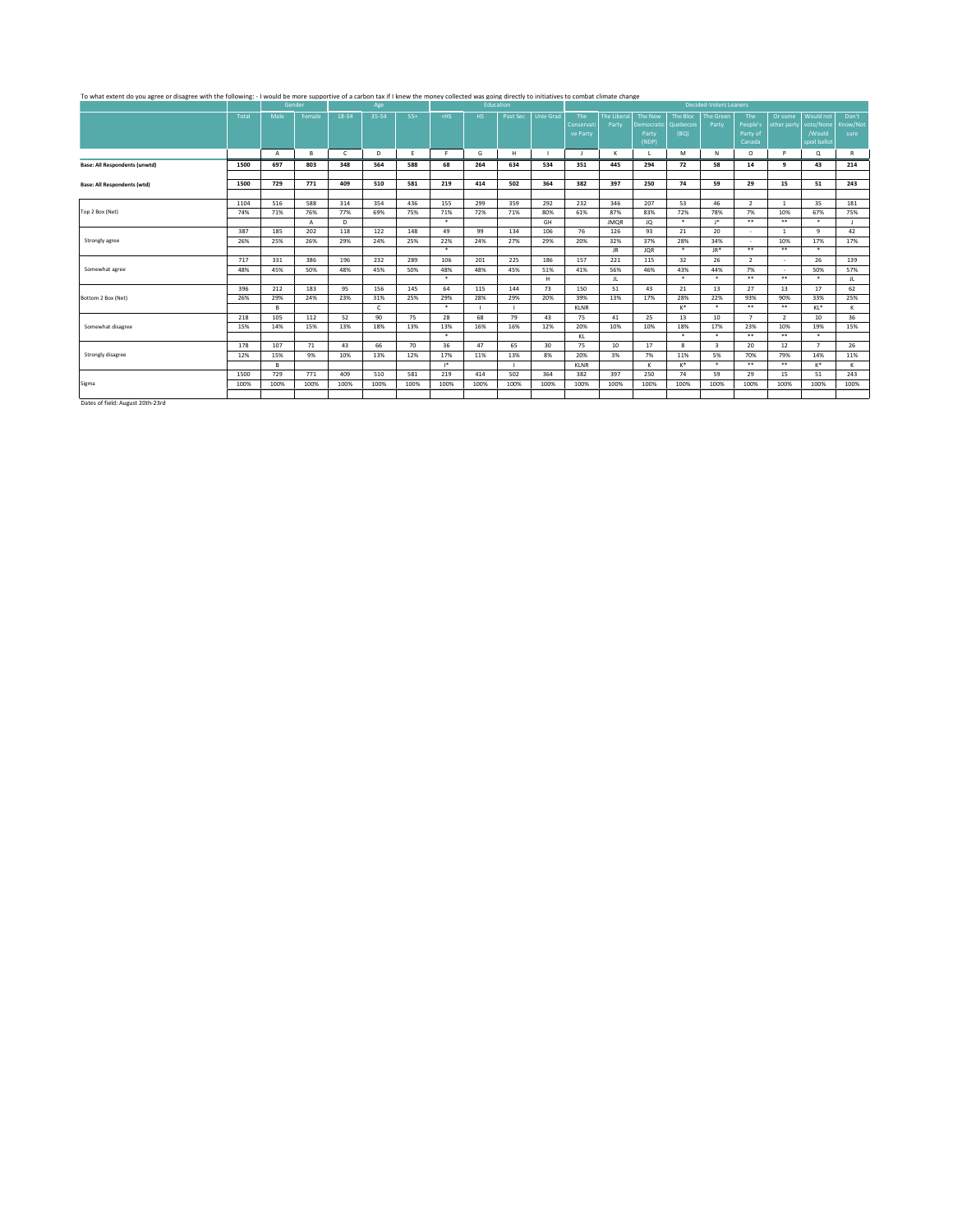# To what extent do you agree or disagree with the following: - I would be more supportive of a carbon tax if I knew the money collected was going directly to initiatives I combat climate change on the extent of the state of

|                                      |       |              | <b>GELIAEL</b> |              | wee        |       |                                                                                                                                                                                                                                      |      | <b>EUULdtion</b> |                  |             |                    |                      |              | Decided-Voters Learners |                |                |                |          |
|--------------------------------------|-------|--------------|----------------|--------------|------------|-------|--------------------------------------------------------------------------------------------------------------------------------------------------------------------------------------------------------------------------------------|------|------------------|------------------|-------------|--------------------|----------------------|--------------|-------------------------|----------------|----------------|----------------|----------|
|                                      | Total | Male         | Female         | 18-34        | 35-54      | $55+$ | <hs< th=""><th>HS.</th><th>Post Sec</th><th><b>Univ Grad</b></th><th>The</th><th><b>The Liberal</b></th><th><b>The New</b></th><th>The Bloc</th><th>The Green</th><th>The</th><th>Or some</th><th>Would not</th><th>Don't</th></hs<> | HS.  | Post Sec         | <b>Univ Grad</b> | The         | <b>The Liberal</b> | <b>The New</b>       | The Bloc     | The Green               | The            | Or some        | Would not      | Don't    |
|                                      |       |              |                |              |            |       |                                                                                                                                                                                                                                      |      |                  |                  | Conservati  | Party              | Democratic Quebecois |              | Party                   | People's       | other party    | vote/None      | Know/Not |
|                                      |       |              |                |              |            |       |                                                                                                                                                                                                                                      |      |                  |                  | ve Party    |                    | Party                | (BQ)         |                         | Party of       |                | /Would         | sure     |
|                                      |       |              |                |              |            |       |                                                                                                                                                                                                                                      |      |                  |                  |             |                    | (NDP)                |              |                         | Canada         |                | spoil ballot   |          |
|                                      |       | $\mathsf{A}$ | в              | $\mathsf{C}$ | D          | F     | F.                                                                                                                                                                                                                                   | G    | н                |                  |             | $\mathbf k$        |                      | M            | N                       | $\circ$        | P.             | Q              | R        |
| <b>Base: All Respondents (unwtd)</b> | 1500  | 697          | 803            | 348          | 564        | 588   | 68                                                                                                                                                                                                                                   | 264  | 634              | 534              | 351         | 445                | 294                  | 72           | 58                      | 14             | 9              | 43             | 214      |
|                                      |       |              |                |              |            |       |                                                                                                                                                                                                                                      |      |                  |                  |             |                    |                      |              |                         |                |                |                |          |
| <b>Base: All Respondents (wtd)</b>   | 1500  | 729          | 771            | 409          | 510        | 581   | 219                                                                                                                                                                                                                                  | 414  | 502              | 364              | 382         | 397                | 250                  | 74           | 59                      | 29             | 15             | 51             | 243      |
|                                      |       |              |                |              |            |       |                                                                                                                                                                                                                                      |      |                  |                  |             |                    |                      |              |                         |                |                |                |          |
|                                      | 1104  | 516          | 588            | 314          | 354        | 436   | 155                                                                                                                                                                                                                                  | 299  | 359              | 292              | 232         | 346                | 207                  | 53           | 46                      | $\overline{2}$ | $\mathbf{1}$   | 35             | 181      |
| Top 2 Box (Net)                      | 74%   | 71%          | 76%            | 77%          | 69%        | 75%   | 71%                                                                                                                                                                                                                                  | 72%  | 71%              | 80%              | 61%         | 87%                | 83%                  | 72%          | 78%                     | 7%             | 10%            | 67%            | 75%      |
|                                      |       |              | $\mathsf{A}$   | D            |            |       | $\star$                                                                                                                                                                                                                              |      |                  | GH               |             | <b>JMOR</b>        | JQ                   | $\star$      | $1*$                    | $* *$          | $***$          | $\star$        |          |
|                                      | 387   | 185          | 202            | 118          | 122        | 148   | 49                                                                                                                                                                                                                                   | 99   | 134              | 106              | 76          | 126                | 93                   | 21           | 20                      |                |                | $\mathbf{q}$   | 42       |
| Strongly agree                       | 26%   | 25%          | 26%            | 29%          | 24%        | 25%   | 22%                                                                                                                                                                                                                                  | 24%  | 27%              | 29%              | 20%         | 32%                | 37%                  | 28%          | 34%                     | $\sim$         | 10%            | 17%            | 17%      |
|                                      |       |              |                |              |            |       | $\star$                                                                                                                                                                                                                              |      |                  |                  |             | JR.                | <b>JOR</b>           | $\star$      | JR*                     | $***$          | $\star\star$   | $\star$        |          |
|                                      | 717   | 331          | 386            | 196          | 232        | 289   | 106                                                                                                                                                                                                                                  | 201  | 225              | 186              | 157         | 221                | 115                  | 32           | 26                      | $\overline{2}$ |                | 26             | 139      |
| Somewhat agree                       | 48%   | 45%          | 50%            | 48%          | 45%        | 50%   | 48%                                                                                                                                                                                                                                  | 48%  | 45%              | 51%              | 41%         | 56%                | 46%                  | 43%          | 44%                     | 7%             | $\sim$         | 50%            | 57%      |
|                                      |       |              |                |              |            |       | $\star$                                                                                                                                                                                                                              |      |                  | H                |             | JL                 |                      | $\star$      | $\star$                 | $***$          | $***$          | $\star$        | JL       |
|                                      | 396   | 212          | 183            | 95           | 156        | 145   | 64                                                                                                                                                                                                                                   | 115  | 144              | 73               | 150         | 51                 | 43                   | 21           | 13                      | 27             | 13             | 17             | 62       |
| Bottom 2 Box (Net)                   | 26%   | 29%          | 24%            | 23%          | 31%        | 25%   | 29%                                                                                                                                                                                                                                  | 28%  | 29%              | 20%              | 39%         | 13%                | 17%                  | 28%          | 22%                     | 93%            | 90%            | 33%            | 25%      |
|                                      |       | в            |                |              | $\epsilon$ |       | $\star$                                                                                                                                                                                                                              |      |                  |                  | <b>KLNR</b> |                    |                      | K*           | $\star$                 | $***$          | $* *$          | KL*            | к        |
|                                      | 218   | 105          | 112            | 52           | 90         | 75    | 28                                                                                                                                                                                                                                   | 68   | 79               | 43               | 75          | 41                 | 25                   | 13           | 10                      | $\overline{7}$ | $\overline{2}$ | 10             | 36       |
| Somewhat disagree                    | 15%   | 14%          | 15%            | 13%          | 18%        | 13%   | 13%                                                                                                                                                                                                                                  | 16%  | 16%              | 12%              | 20%         | 10%                | 10%                  | 18%          | 17%                     | 23%            | 10%            | 19%            | 15%      |
|                                      |       |              |                |              |            |       | $\star$                                                                                                                                                                                                                              |      |                  |                  | KL          |                    |                      | $\star$      | $\star$                 | $* *$          | $***$          | $\star$        |          |
|                                      | 178   | 107          | 71             | 43           | 66         | 70    | 36                                                                                                                                                                                                                                   | 47   | 65               | 30               | 75          | 10                 | 17                   | $\mathbf{R}$ | $\overline{\mathbf{3}}$ | 20             | 12             | $\overline{7}$ | 26       |
| Strongly disagree                    | 12%   | 15%          | 9%             | 10%          | 13%        | 12%   | 17%                                                                                                                                                                                                                                  | 11%  | 13%              | 8%               | 20%         | 3%                 | 7%                   | 11%          | 5%                      | 70%            | 79%            | 14%            | 11%      |
|                                      |       | в            |                |              |            |       | $1*$                                                                                                                                                                                                                                 |      |                  |                  | <b>KLNR</b> |                    | к                    | K*           | $\star$                 | $* *$          | $***$          | $K^*$          | K        |
|                                      | 1500  | 729          | 771            | 409          | 510        | 581   | 219                                                                                                                                                                                                                                  | 414  | 502              | 364              | 382         | 397                | 250                  | 74           | 59                      | 29             | 15             | 51             | 243      |
| Sigma                                | 100%  | 100%         | 100%           | 100%         | 100%       | 100%  | 100%                                                                                                                                                                                                                                 | 100% | 100%             | 100%             | 100%        | 100%               | 100%                 | 100%         | 100%                    | 100%           | 100%           | 100%           | 100%     |
|                                      |       |              |                |              |            |       |                                                                                                                                                                                                                                      |      |                  |                  |             |                    |                      |              |                         |                |                |                |          |
| .                                    |       |              |                |              |            |       |                                                                                                                                                                                                                                      |      |                  |                  |             |                    |                      |              |                         |                |                |                |          |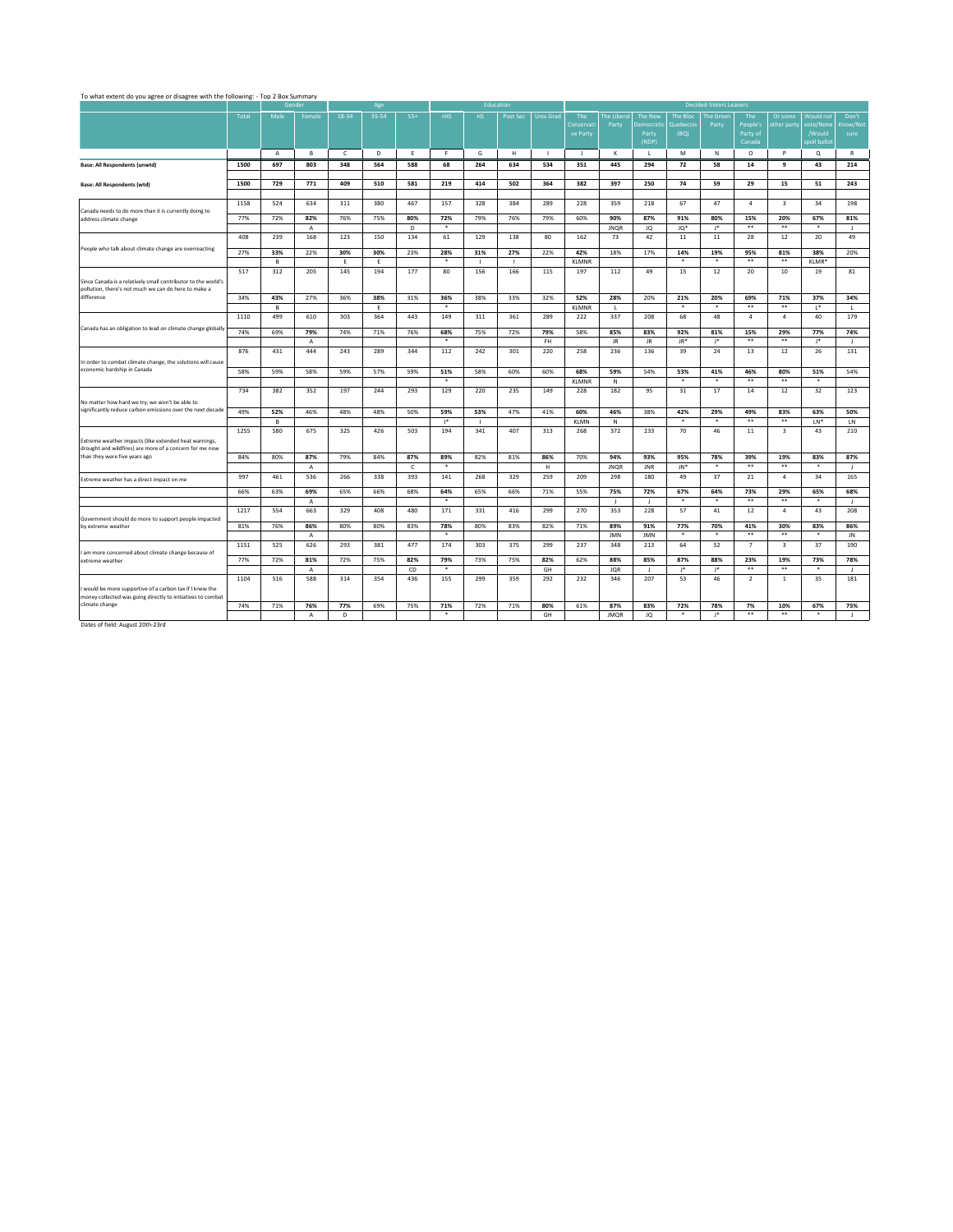|                                                                                                                       |       |              | Gender              |              | Age   |              |                |              | Education |                  |                               |                      |                                                |                               | <b>Decided-Voters Leaners</b> |                                       |                         |                                                         |                       |
|-----------------------------------------------------------------------------------------------------------------------|-------|--------------|---------------------|--------------|-------|--------------|----------------|--------------|-----------|------------------|-------------------------------|----------------------|------------------------------------------------|-------------------------------|-------------------------------|---------------------------------------|-------------------------|---------------------------------------------------------|-----------------------|
|                                                                                                                       | Total | Male         | Female              | 18-34        | 35-54 | $55+$        | $<$ HS         | HS.          | Post Sec  | <b>Univ Grad</b> | The<br>Conservati<br>ve Party | The Liberal<br>Party | The New<br><b>Democratic</b><br>Party<br>(NDP) | The Bloc<br>Quebecois<br>(BQ) | The Green<br>Party            | The<br>People's<br>Party of<br>Canada | Or some<br>other party  | <b>Would not</b><br>vote/None<br>/Would<br>spoil ballot | Don'<br>Know/<br>sure |
|                                                                                                                       |       | $\mathsf{A}$ | в                   | $\mathsf{C}$ | D     | Ε.           | F.             | G            | H         | $\mathbf{L}$     | J.                            | к                    | $\mathbf{L}$                                   | M                             | N                             | $\circ$                               | P                       | $^{\circ}$                                              | $\mathbb{R}$          |
| Base: All Respondents (unwtd)                                                                                         | 1500  | 697          | 803                 | 348          | 564   | 588          | 68             | 264          | 634       | 534              | 351                           | 445                  | 294                                            | 72                            | 58                            | 14                                    | 9                       | 43                                                      | 214                   |
| <b>Base: All Respondents (wtd)</b>                                                                                    | 1500  | 729          | 771                 | 409          | 510   | 581          | 219            | 414          | 502       | 364              | 382                           | 397                  | 250                                            | 74                            | 59                            | 29                                    | 15                      | 51                                                      | 243                   |
| Canada needs to do more than it is currently doing to                                                                 | 1158  | 524          | 634                 | 311          | 380   | 467          | 157            | 328          | 384       | 289              | 228                           | 359                  | 218                                            | 67                            | 47                            | $\sim$                                | $\overline{\mathbf{3}}$ | 34                                                      | 198                   |
| address climate change                                                                                                | 77%   | 72%          | 82%<br>A            | 76%          | 75%   | 80%<br>D     | 72%<br>$\star$ | 79%          | 76%       | 79%              | 60%                           | 90%<br><b>JNQR</b>   | 87%<br>JQ                                      | 91%<br>JQ*                    | 80%<br>$1*$                   | 15%<br>$***$                          | 20%<br>$***$            | 67%<br>$\ast$                                           | 81%<br>$\mathbf{I}$   |
|                                                                                                                       | 408   | 239          | 168                 | 123          | 150   | 134          | 61             | 129          | 138       | 80               | 162                           | 73                   | 42                                             | $11\,$                        | 11                            | 28                                    | 12                      | 20                                                      | 49                    |
| People who talk about climate change are overreacting                                                                 | 27%   | 33%          | 22%                 | 30%          | 30%   | 23%          | 28%            | 31%          | 27%       | 22%              | 42%                           | 18%                  | 17%                                            | 14%                           | 19%                           | 95%                                   | 81%                     | 38%                                                     | 20%                   |
|                                                                                                                       |       | B            |                     | E            | E     |              | $\ast$         | $\mathbf{I}$ | - 11      |                  | <b>KLMNR</b>                  |                      |                                                | $\star$                       | $\ast$                        | $***$                                 | $***$                   | KLMR*                                                   |                       |
| Since Canada is a relatively small contributor to the world's<br>pollution, there's not much we can do here to make a | 517   | 312          | 205                 | 145          | 194   | 177          | 80             | 156          | 166       | 115              | 197                           | 112                  | 49                                             | 15                            | 12                            | 20                                    | 10                      | 19                                                      | 81                    |
| difference                                                                                                            | 34%   | 43%          | 27%                 | 36%          | 38%   | 31%          | 36%            | 38%          | 33%       | 32%              | 52%                           | 28%                  | 20%                                            | 21%                           | 20%                           | 69%                                   | 71%                     | 37%                                                     | 34%                   |
|                                                                                                                       |       | B            |                     |              | E     |              | $\ast$         |              |           |                  | <b>KLMNR</b>                  | τ.                   |                                                | $\ast$                        | $\ast$                        | $***$                                 | $***$                   | $L^*$                                                   | $\mathbf{L}$          |
| Canada has an obligation to lead on climate change globally                                                           | 1110  | 499          | 610                 | 303          | 364   | 443          | 149            | 311          | 361       | 289              | 222                           | 337                  | 208                                            | 68                            | 48                            | 4                                     | 4                       | 40                                                      | 179                   |
|                                                                                                                       | 74%   | 69%          | 79%                 | 74%          | 71%   | 76%          | 68%            | 75%          | 72%       | 79%              | 58%                           | 85%                  | 83%                                            | 92%                           | 81%                           | 15%                                   | 29%                     | 77%                                                     | 74%                   |
|                                                                                                                       |       |              | $\overline{A}$      |              |       |              | $\star$        |              |           | FH.              |                               | JR.                  | JR.                                            | JR*                           | $1*$                          | $***$                                 | $**$                    | J*                                                      | $\mathbf{J}$          |
| In order to combat climate change, the solutions will cause<br>economic hardship in Canada                            | 876   | 431          | 444                 | 243          | 289   | 344          | 112            | 242          | 301       | 220              | 258                           | 236                  | 136                                            | 39                            | 24                            | 13                                    | 12                      | 26                                                      | 131                   |
|                                                                                                                       | 58%   | 59%          | 58%                 | 59%          | 57%   | 59%          | 51%<br>$\star$ | 58%          | 60%       | 60%              | 68%                           | 59%                  | 54%                                            | 53%<br>$\star$                | 41%<br>$\star$                | 46%<br>$\bullet\ast$                  | 80%<br>$***$            | 51%<br>$\star$                                          | 54%                   |
|                                                                                                                       | 734   | 382          | 352                 | 197          | 244   | 293          | 129            | 220          | 235       | 149              | <b>KLMNR</b><br>228           | ${\sf N}$            | 95                                             |                               |                               | 14                                    |                         |                                                         |                       |
| No matter how hard we try, we won't be able to                                                                        |       |              |                     |              |       |              |                |              |           |                  |                               | 182                  |                                                | 31                            | 17                            |                                       | 12                      | 32                                                      | 123                   |
| significantly reduce carbon emissions over the next decade                                                            | 49%   | 52%          | 46%                 | 48%          | 48%   | 50%          | 59%            | 53%          | 47%       | 41%              | 60%                           | 46%                  | 38%                                            | 42%                           | 29%                           | 49%                                   | 83%                     | 63%                                                     | 50%                   |
|                                                                                                                       |       | B            |                     |              |       |              | $\mathsf{I}^*$ | $\mathbf{I}$ |           |                  | <b>KLMN</b>                   | $\mathbb N$          |                                                | $\star$                       | $\star$                       | $\star\star$                          | $\star\star$            | $LN^*$                                                  | LN                    |
| Extreme weather impacts (like extended heat warnings,<br>drought and wildfires) are more of a concern for me now      | 1255  | 580          | 675                 | 325          | 426   | 503          | 194            | 341          | 407       | 313              | 268                           | 372                  | 233                                            | 70                            | 46                            | 11                                    | $\overline{\mathbf{3}}$ | 43                                                      | 210                   |
| than they were five years ago                                                                                         | 84%   | 80%          | 87%                 | 79%          | 84%   | 87%          | 89%            | 82%          | 81%       | 86%              | 70%                           | 94%                  | 93%                                            | 95%                           | 78%                           | 39%                                   | 19%                     | 83%                                                     | 87%                   |
|                                                                                                                       |       |              | $\mathsf{A}$        |              |       | $\mathsf{C}$ | $\ast$         |              |           | H                |                               | <b>JNOR</b>          | <b>JNR</b>                                     | JN*                           | $\ast$                        | $***$                                 | $***$                   | $\ast$                                                  | $\mathbf{I}$          |
| Extreme weather has a direct impact on me                                                                             | 997   | 461          | 536                 | 266          | 338   | 393          | 141            | 268          | 329       | 259              | 209                           | 298                  | 180                                            | 49                            | 37                            | 21                                    | 4                       | 34                                                      | 165                   |
|                                                                                                                       | 66%   | 63%          | 69%<br>$\mathsf{A}$ | 65%          | 66%   | 68%          | 64%<br>$\star$ | 65%          | 66%       | 71%              | 55%                           | 75%<br>л.            | 72%<br>-11                                     | 67%<br>$\star$                | 64%<br>$\star$                | 73%<br>$*$                            | 29%<br>$***$            | 65%<br>$\star$                                          | 68%<br>$\mathbf{I}$   |
|                                                                                                                       | 1217  | 554          | 663                 | 329          | 408   | 480          | 171            | 331          | 416       | 299              | 270                           | 353                  | 228                                            | 57                            | 41                            | 12                                    | 4                       | 43                                                      | 208                   |
| Government should do more to support people impacted<br>by extreme weather                                            | 81%   | 76%          | 86%                 | 80%          | 80%   | 83%          | 78%            | 80%          | 83%       | 82%              | 71%                           | 89%                  | 91%                                            | 77%                           | 70%                           | 41%                                   | 30%                     | 83%                                                     | 86%                   |
|                                                                                                                       |       |              | $\mathsf{A}$        |              |       |              | $\star$        |              |           |                  |                               | <b>JMN</b>           | <b>JMN</b>                                     | $\ast$                        | $\ast$                        | $***$                                 | $***$                   | $\ast$                                                  | JN                    |
| I am more concerned about climate change because of                                                                   | 1151  | 525          | 626                 | 293          | 381   | 477          | 174            | 303          | 375       | 299              | 237                           | 348                  | 213                                            | 64                            | 52                            | $\overline{7}$                        | $\overline{\mathbf{3}}$ | 37                                                      | 190                   |
| extreme weather                                                                                                       | 77%   | 72%          | 81%                 | 72%          | 75%   | 82%          | 79%            | 73%          | 75%       | 82%              | 62%                           | 88%                  | 85%                                            | 87%                           | 88%                           | 23%                                   | 19%                     | 73%                                                     | 78%                   |
|                                                                                                                       |       |              | $\overline{A}$      |              |       | CD           | $\ast$         |              |           | GH               |                               | <b>JOR</b>           | - 11                                           | J*                            | J*                            | $***$                                 | $***$                   | $\ast$                                                  | $\mathbf{I}$          |
|                                                                                                                       | 1104  | 516          | 588                 | 314          | 354   | 436          | 155            | 299          | 359       | 292              | 232                           | 346                  | 207                                            | 53                            | 46                            | $\overline{2}$                        | $\mathbf{1}$            | 35                                                      | 181                   |

74% 71% **76% 77%** 69% 75% **71%** 72% 71% **80%** 61% **87% 83% 72% 78% 7% 10% 67% 75%**

A | D | | | \* | | | GH | |JMQR | JQ | \* | J\* | \*\* | \*\* | \* | J

Don't Know/Not sure

Dates of field: August 20th-23rd

I would be more supportive of a carbon tax if I knew the money collected was going directly to initiatives to combat climate change